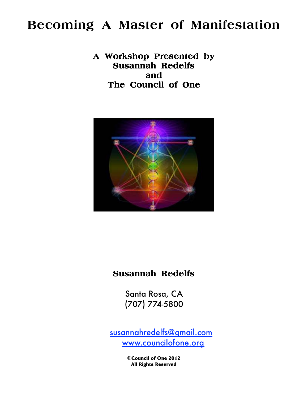# **Becoming A Master of Manifestation**

**A Workshop Presented by Presented by Susannah Redelfs Redelfs and The Council of One** 



# **Susannah Redelfs**

 (707) 774-5800Santa Rosa, CA

susannahredelfs@gmail.com www.councilofone.org

> **©Council of One 2012 All Rights Reserved**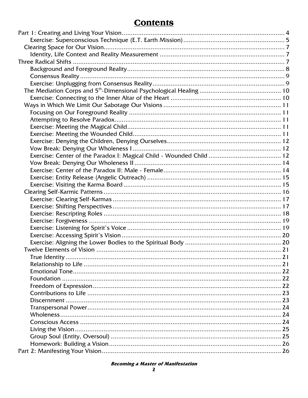# **Contents**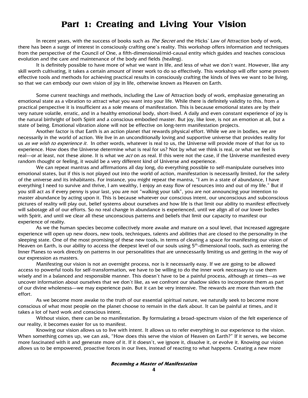# **Part 1: Creating and Living Your Vision**

In recent years, with the success of books such as *The Secret* and the Hicks' Law of Attraction body of work, there has been a surge of interest in consciously crafting one's reality. This workshop offers information and techniques from the perspective of the Council of One, a fifth-dimensional/mid-causal entity which guides and teaches conscious evolution and the care and maintenance of the body and fields (healing).

 It is definitely possible to have more of what we want in life, and less of what we don't want. However, like any skill worth cultivating, it takes a certain amount of inner work to do so effectively. This workshop will offer some proven effective tools and methods for achieving practical results in consciously crafting the kinds of lives we want to be living, so that we can embody our own vision of joy in life, otherwise known as Heaven on Earth.

 Some current teachings and methods, including the Law of Attraction body of work, emphasize generating an emotional state as a vibration to attract what you want into your life. While there is definitely validity to this, from a practical perspective it is insufficient as a sole means of manifestation. This is because emotional states are by their very nature volatile, erratic, and in a healthy emotional body, short-lived. A daily and even constant experience of joy is the natural birthright of both Spirit and a conscious embodied master. But joy, like love, is not an emotion at all, but a state of being. Emotional vibration alone will not be effective on long-term manifestation projects.

 Another factor is that Earth is an action planet that rewards physical effort. While we are in bodies, we are necessarily in the world of action. We live in an unconditionally loving and supportive universe that provides reality for us as we wish to experience it. In other words, whatever is real to us, the Universe will provide more of that for us to experience. How does the Universe determine what is real for us? Not by what we think is real, or what we feel is real—or at least, not these alone. It is what we *act* on as real. If this were not the case, if the Universe manifested every random thought or feeling, it would be a very different kind of Universe and experience.

 We can repeat mantras and affirmations all day long, do everything possible to self-manipulate ourselves into emotional states, but if this is not played out into the world of action, manifestation is necessarily limited, for the safety of the universe and its inhabitants. For instance, you might repeat the mantra, "I am in a state of abundance, I have everything I need to survive and thrive, I am wealthy, I enjoy an easy flow of resources into and out of my life." But if you still act as if every penny is your last, you are not "walking your talk", you are not announcing your intention to master abundance by acting upon it. This is because whatever our conscious intent, our unconscious and subconscious pictures of reality will play out, belief systems about ourselves and how life is that limit our ability to manifest effectively will sabotage all of our efforts. So no real change in abundance is experienced, until we align all of our lower bodies with Spirit, and until we clear all these unconscious patterns and beliefs that limit our capacity to manifest our experience of reality.

 As we the human species become collectively more awake and mature on a soul level, that increased aggregate experience will open up new doors, new tools, techniques, talents and abilities that are closed to the personality in the sleeping state. One of the most promising of these new tools, in terms of clearing a space for manifesting our vision of Heaven on Earth, is our ability to access the deepest level of our souls using 5<sup>th</sup>-dimensional tools, such as entering the Inner Planes to work directly on patterns in our personalities that are unnecessarily limiting us and getting in the way of our expression as masters.

 Manifesting our vision is not an overnight process, nor is it necessarily easy. If we are going to be allowed access to powerful tools for self-transformation, we have to be willing to do the inner work necessary to use them wisely and in a balanced and responsible manner. This doesn't have to be a painful process, although at times—as we uncover information about ourselves that we don't like, as we confront our shadow sides to incorporate them as part of our divine wholeness—we may experience pain. But it can be very intensive. The rewards are more than worth the effort.

 As we become more awake to the truth of our essential spiritual nature, we naturally seek to become more conscious of what most people on the planet choose to remain in the dark about. It can be painful at times, and it takes a lot of hard work and conscious intent,

 Without vision, there can be no manifestation. By formulating a broad-spectrum vision of the felt experience of our reality, it becomes easier for us to manifest.

 Knowing our vision allows us to live with intent. It allows us to refer everything in our experience to the vision. When something comes up, we can ask, "How does this serve the vision of Heaven on Earth?" If it serves, we become more fascinated with it and generate more of it. If it doesn't, we ignore it, dissolve it, or evolve it. Knowing our vision allows us to be empowered, proactive forces in our lives, instead of reacting to what happens. Creating a new more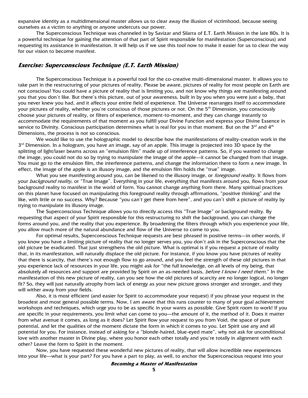expansive identity as a multidimensional master allows us to clear away the illusion of victimhood, because seeing ourselves as a victim to anything or anyone undercuts our power.

 The Superconscious Technique was channeled in by Savizar and Silarra of E.T. Earth Mission in the late 80s. It is a powerful technique for gaining the attention of that part of Spirit responsible for manifestation (Superconscious) and requesting its assistance in manifestation. It will help us if we use this tool now to make it easier for us to clear the way for our vision to become manifest.

#### **Exercise: Superconscious Technique (E.T. Earth Mission)**

The Superconscious Technique is a powerful tool for the co-creative multi-dimensional master. It allows you to take part in the restructuring of your pictures of reality. Please be aware, pictures of reality for most people on Earth are not conscious! You could have a picture of reality that is limiting you, and not know why things are manifesting around you that you don't like. But there's this picture, out of your awareness, built in by you when you were just a baby, that you never knew you had, and it affects your entire field of experience. The Universe rearranges itself to accommodate your pictures of reality, whether you're conscious of those pictures or not. On the 5<sup>th</sup> Dimension, you consciously choose your pictures of reality, or filters of experience, moment-to-moment, and they can change instantly to accommodate the requirements of that moment as you fulfill your Divine Function and express your Divine Essence in service to Divinity. Conscious participation determines what is real for you in that moment. But on the  $3^{rd}$  and  $4^{th}$ Dimensions, the process is not so conscious.

We would like to use the holographic model to describe how the manifestations of reality-creation work in the 3<sup>rd</sup> Dimension. In a hologram, you have an image, say of an apple. This image is projected into 3D space by the splitting of light/laser beams across an "emulsion film" made up of interference patterns. So, if you wanted to change the image, you could not do so by trying to manipulate the image of the apple—it cannot be changed from that image. You must go to the emulsion film, the interference patterns, and change the information there to form a new image. In effect, the image of the apple is an illusory image, and the emulsion film holds the "true" image.

What you see manifesting around you, can be likened to the illusory image, or *foreground reality.* It flows from your *background reality*, or "True Image". Everything in your life, everything that manifests around you, flows from your background reality to manifest in the world of form. You cannot change anything from there. Many spiritual practices on this planet have focused on manipulating this foreground reality through affirmations, "positive thinking" and the like, with little or no success. Why? Because "you can't get there from here", and you can't shift a picture of reality by trying to manipulate its illusory image.

The Superconscious Technique allows you to directly access this "True Image" or background reality. By requesting that aspect of your Spirit responsible for this restructuring to shift the background, you can change the forms around you, and the reality that you experience. By broadening the filters through which you experience your life, you allow much more of the natural abundance and flow of the Universe to come to you.

For optimal results, Superconscious Technique requests are best phrased in positive terms—in other words, if you know you have a limiting picture of reality that no longer serves you, you don't ask in the Superconscious that the old picture be eradicated. That just strengthens the old picture. What is optimal is if you request a picture of reality that, in its manifestation, will naturally displace the old picture. For instance, if you know you have pictures of reality that there is scarcity, that there's not enough flow to go around, and you feel the strength of these old pictures in that you experience lack of resources in your life, you might ask for "the full knowledge, on all levels of my being, that absolutely all resources and support are provided by Spirit on an as-needed basis, *before I know I need them.*" In the manifestation of this new picture of reality, can you see how the old pictures of scarcity are no longer logical, no longer fit? So, they will just naturally atrophy from lack of energy as your new picture grows stronger and stronger, and they will wither away from your fields.

Also, it is most efficient (and easier for Spirit to accommodate your request) if you phrase your request in the broadest and most general possible terms. Now, I am aware that this runs counter to many of your goal achievement workshops and techniques, which urge you to be as specific in your wants as possible. Give Spirit room to work! If you are specific in your requirements, you limit what can come to you—the amount of it, the method of it. Does it matter from what avenue it comes, as long as it does? Let Spirit flow your request to you from Void, the space of pure potential, and let the qualities of the moment dictate the form in which it comes to you. Let Spirit use any and all potential for you. For instance, instead of asking for a "blonde-haired, blue-eyed mate", why not ask for unconditional love with another master in Divine play, where you honor each other totally and you're totally in alignment with each other? Leave the form to Spirit in the moment.

Now, you have requested these wonderful new pictures of reality, that will allow incredible new experiences into your life—what is your part? For you have a part to play, as well, to anchor the Superconscious request into your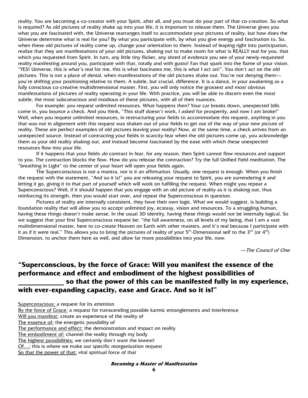reality. You are becoming a co-creator with your Spirit, after all, and you must do your part of that co-creation. So what is required? As old pictures of reality shake up into your life, it is important to release them. The Universe gives you what you are fascinated with, the Universe rearranges itself to accommodate your pictures of reality, but how does the Universe determine what is real for you? By what you participate with, by what you give energy and fascination to. So, when these old pictures of reality come up, change your orientation to them. Instead of leaping right into participation, realize that they are manifestations of your old pictures, shaking out to make room for what is REALLY real for you, that which you requested from Spirit. In turn, any little tiny flicker, any shred of evidence you see of your newly-requested reality manifesting around you, participate with that, totally and with gusto! Fan that spark into the flame of your vision. "YES! Universe, this is what's real for me, this is what fascinates me, this is what I act on!". You don't act on the old pictures. This is not a place of denial, when manifestations of the old pictures shake out. You're not denying them you're shifting your positioning relative to them. A subtle, but crucial, difference. It is a dance, in your awakening as a fully conscious co-creative multidimensional master. First, you will only notice the grossest and most obvious manifestations of pictures of reality operating in your life. With practice, you will be able to discern even the most subtle, the most subconscious and insidious of these pictures, with all of their nuances.

For example: you request unlimited resources. What happens then? Your car breaks down, unexpected bills come in, you bounce a check. And you think, "This stuff doesn't work, I asked for prosperity, and now I am broke!" Well, when you request unlimited resources, in restructuring your fields to accommodate this request, anything in you that was not in alignment with this request was shaken out of your fields to get out of the way of your new picture of reality. These are perfect examples of old pictures leaving your reality! Now, at the same time, a check arrives from an unexpected source. Instead of contracting your fields in scarcity-fear when the old pictures come up, you acknowledge them as your old reality shaking out, and instead become fascinated by the ease with which these unexpected resources flow into your life.

If it happens that your fields do contract in fear, for any reason, then Spirit cannot flow resources and support to you. The contraction blocks the flow. How do you release the contraction? Try the full Unified Field meditation. The "breathing in Light" to the center of your heart will open your fields again.

The Superconscious is not a mantra, nor is it an affirmation. Usually, one request is enough. When you finish the request with the statement, "And so it is!" you are releasing your request to Spirit, you are surrendering it and letting it go, giving it to that part of yourself which will work on fulfilling the request. When might you repeat a Superconscious? Well, if it should happen that you engage with an old picture of reality as it is shaking out, thus reinforcing its strength, then you would start over, and repeat the Superconscious in question.

Pictures of reality are internally consistent, they have their own logic. What we would suggest, is building a foundation reality that will allow you to accept unlimited joy, ecstasy, vision and resources. To a struggling human, having these things doesn't make sense. In the usual 3D identity, having these things would not be internally logical. So we suggest that your first Superconscious request be: "the full awareness, on all levels of my being, that I am a vast multidimensional master, here to co-create Heaven on Earth with other masters, and it's real because I participate with it as if it were real." This allows you to bring the pictures of reality of your  $5<sup>th</sup>$ -Dimensional self to the  $3<sup>rd</sup>$  (or  $4<sup>th</sup>$ ) Dimension, to anchor them here as well, and allow far more possibilities into your life, now.

—The Council of One

# **"Superconscious, by the force of Grace: Will you manifest the essence of the performance and effect and embodiment of the highest possibilities of \_\_\_\_\_\_\_\_\_\_\_\_\_ so that the power of this can be manifested fully in my experience, with ever-expanding capacity, ease and Grace. And so it is!"**

Superconscious: a request for its attention

By the force of Grace: a request for transcending possible karmic entanglements and interference

Will you manifest: create an experience of the reality of

The essence of: the energetic possibility of

The performance and effect: the demonstration and impact on reality

The embodiment of: channel the reality through my body

The highest possibilities: we certainly don't want the lowest!

Of…: this is where we make our specific reorganization request

So that the power of that: vital spiritual force of that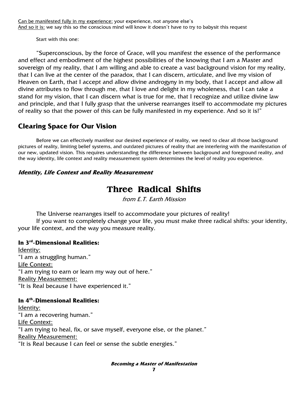Can be manifested fully in my experience: your experience, not anyone else's And so it is: we say this so the conscious mind will know it doesn't have to try to babysit this request

Start with this one:

"Superconscious, by the force of Grace, will you manifest the essence of the performance and effect and embodiment of the highest possibilities of the knowing that I am a Master and sovereign of my reality, that I am willing and able to create a vast background vision for my reality, that I can live at the center of the paradox, that I can discern, articulate, and live my vision of Heaven on Earth, that I accept and allow divine androgyny in my body, that I accept and allow all divine attributes to flow through me, that I love and delight in my wholeness, that I can take a stand for my vision, that I can discern what is true for me, that I recognize and utilize divine law and principle, and that I fully grasp that the universe rearranges itself to accommodate my pictures of reality so that the power of this can be fully manifested in my experience. And so it is!"

# **Clearing Space for Our Vision**

Before we can effectively manifest our desired experience of reality, we need to clear all those background pictures of reality, limiting belief systems, and outdated pictures of reality that are interfering with the manifestation of our new, updated vision. This requires understanding the difference between background and foreground reality, and the way identity, life context and reality measurement system determines the level of reality you experience.

### **Identity, Life Context and Reality Measurement**

# **Three Radical Shifts**

from E.T. Earth Mission

The Universe rearranges itself to accommodate your pictures of reality!

 If you want to completely change your life, you must make three radical shifts: your identity, your life context, and the way you measure reality.

### **In 3rd-Dimensional Realities:**

Identity: "I am a struggling human." Life Context: "I am trying to earn or learn my way out of here." Reality Measurement: "It is Real because I have experienced it."

### **In 4th-Dimensional Realities:**

Identity: "I am a recovering human." Life Context: "I am trying to heal, fix, or save myself, everyone else, or the planet." Reality Measurement: "It is Real because I can feel or sense the subtle energies."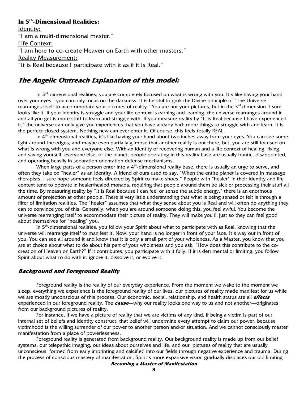## **In 5th-Dimensional Realities:**

Identity: "I am a multi-dimensional master." Life Context: "I am here to co-create Heaven on Earth with other masters." Reality Measurement: "It is Real because I participate with it as if it is Real."

## **The Angelic Outreach Explanation of this model:**

In 3<sup>rd</sup>-dimensional realities, you are completely focused on what is wrong with you. It's like having your hand over your eyes—you can only focus on the darkness. It is helpful to grok the Divine principle of "The Universe rearranges itself to accommodate your pictures of reality." You are not your pictures, but in the 3<sup>rd</sup> dimension it sure looks like it. If your identity is struggle and your life context is earning and learning, the universe rearranges around it and all you get is more stuff to learn and struggle with. If you measure reality by "It is Real because I have experienced it," the universe can only give you experiences that you have already had: more things to struggle with and learn. It is the perfect closed system. Nothing new can ever enter it. Of course, this feels totally REAL.

In  $4<sup>th</sup>$ -dimensional realities, it's like having your hand about two inches away from your eyes. You can see some light around the edges, and maybe even partially glimpse that another reality is out there, but, you are still focused on what is wrong with you and everyone else. With an identity of recovering human and a life context of healing, fixing, and saving yourself, everyone else, or the planet, people operating in this reality base are usually frantic, disappointed, and operating heavily in separation orientation defense mechanisms.

When large parts of a person enter into a  $4<sup>th</sup>$ -dimensional reality base, there is usually an urge to serve, and often they take on "healer" as an identity. A friend of ours used to say, "When the entire planet is covered in massage therapists, I sure hope someone feels directed by Spirit to make shoes." People with "healer" in their identity and life context tend to operate in healer/healed monads, requiring that people around them be sick or processing their stuff all the time. By measuring reality by "It is Real because I can feel or sense the subtle energy," there is an enormous amount of projection at other people. There is very little understanding that what is being sensed or felt is through a filter of limitation realities. The "healer" assumes that what they sense about you is Real and will often do anything they can to convince you of this. Generally, when you are around someone doing this, you feel awful. You become the universe rearranging itself to accommodate their picture of reality. They will make you ill just so they can feel good about themselves for "healing" you.

In 5<sup>th</sup>-dimensional realities, you follow your Spirit about what to participate with as Real, knowing that the universe will rearrange itself to manifest it. Now, your hand is no longer in front of your face. It's way out in front of you. You can see all around it and know that it is only a small part of your wholeness. As a Master, you know that you are at choice about what to do about his part of your wholeness and you ask, "How does this contribute to the cocreation of Heaven on Earth?" If it contributes, you participate with it fully. If it is detrimental or limiting, you follow Spirit about what to do with it: ignore it, dissolve it, or evolve it.

### **Background and Foreground Reality**

Foreground reality is the reality of our everyday experience. From the moment we wake to the moment we sleep, everything we experience is the foreground reality of our lives, our pictures of reality made manifest for us while we are mostly unconscious of this process. Our economic, social, relationship, and health status are all **effects** experienced in our foreground reality. The **cause**—why our reality looks one way to us and not another—originates from our background pictures of reality.

 For instance, if we have a picture of reality that we are victims of any kind, if being a victim is part of our internal set of beliefs and identity construct, that belief will undermine every attempt to claim our power, because victimhood is the willing surrender of our power to another person and/or situation. And we cannot consciously master manifestation from a place of powerlessness.

 Foreground reality is generated from background reality. Our background reality is made up from our belief systems, our telepathic imaging, our ideas about ourselves and life, and our pictures of reality that are usually unconscious, formed from early imprinting and calcified into our fields through negative experience and trauma. During the process of conscious mastery of manifestation, Spirit's more expansive vision gradually displaces our old limiting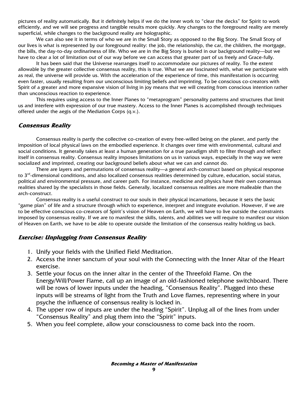pictures of reality automatically. But it definitely helps if we do the inner work to "clear the decks" for Spirit to work efficiently, and we will see progress and tangible results more quickly. Any changes to the foreground reality are merely superficial, while changes to the background reality are holographic.

 We can also see it in terms of who we are in the Small Story as opposed to the Big Story. The Small Story of our lives is what is represented by our foreground reality: the job, the relationship, the car, the children, the mortgage, the bills, the day-to-day ordinariness of life. Who we are in the Big Story is buried in our background reality—but we have to clear a lot of limitation out of our way before we can access that greater part of us freely and Grace-fully.

 It has been said that the Universe rearranges itself to accommodate our pictures of reality. To the extent allowable by the greater collective consensus reality, this is true. What we are fascinated with, what we participate with as real, the universe will provide us. With the acceleration of the experience of time, this manifestation is occurring even faster, usually resulting from our unconscious limiting beliefs and imprinting. To be conscious co-creators with Spirit of a greater and more expansive vision of living in joy means that we will creating from conscious intention rather than unconscious reaction to experience.

 This requires using access to the Inner Planes to "metaprogram" personality patterns and structures that limit us and interfere with expression of our true mastery. Access to the Inner Planes is accomplished through techniques offered under the aegis of the Mediation Corps (q.v.).

#### **Consensus Reality**

Consensus reality is partly the collective co-creation of every free-willed being on the planet, and partly the imposition of local physical laws on the embodied experience. It changes over time with environmental, cultural and social conditions. It generally takes at least a human generation for a true paradigm shift to filter through and reflect itself in consensus reality. Consensus reality imposes limitations on us in various ways, especially in the way we were socialized and imprinted, creating our background beliefs about what we can and cannot do.

 There are layers and permutations of consensus reality—a general arch-construct based on physical response to  $3<sup>rd</sup>$ -dimensional conditions, and also localized consensus realities determined by culture, education, social status, political and environmental pressure, and career path. For instance, medicine and physics have their own consensus realities shared by the specialists in those fields. Generally, localized consensus realities are more malleable than the arch-construct.

 Consensus reality is a useful construct to our souls in their physical incarnations, because it sets the basic "game plan" of life and a structure through which to experience, interpret and integrate evolution. However, if we are to be effective conscious co-creators of Spirit's vision of Heaven on Earth, we will have to live outside the constraints imposed by consensus reality. If we are to manifest the skills, talents, and abilities we will require to manifest our vision of Heaven on Earth, we have to be able to operate outside the limitation of the consensus reality holding us back.

#### **Exercise: Unplugging from Consensus Reality**

- 1. Unify your fields with the Unified Field Meditation.
- 2. Access the inner sanctum of your soul with the Connecting with the Inner Altar of the Heart exercise.
- 3. Settle your focus on the inner altar in the center of the Threefold Flame. On the Energy/Will/Power Flame, call up an image of an old-fashioned telephone switchboard. There will be rows of lower inputs under the heading, "Consensus Reality". Plugged into these inputs will be streams of light from the Truth and Love flames, representing where in your psyche the influence of consensus reality is locked in.
- 4. The upper row of inputs are under the heading "Spirit". Unplug all of the lines from under "Consensus Reality" and plug them into the "Spirit" inputs.
- 5. When you feel complete, allow your consciousness to come back into the room.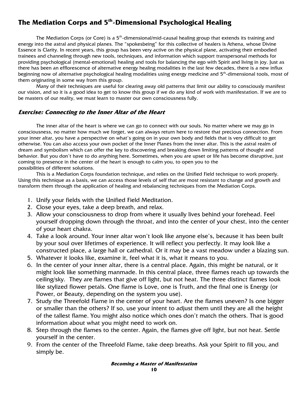# **The Mediation Corps and 5th-Dimensional Psychological Healing**

The Mediation Corps (or Core) is a  $5<sup>th</sup>$ -dimensional/mid-causal healing group that extends its training and energy into the astral and physical planes. The "spokesbeing" for this collective of healers is Athena, whose Divine Essence is Clarity. In recent years, this group has been very active on the physical plane, activating their embodied trainees and channeling through new tools, techniques, and information which support transpersonal methods for providing psychological (mental-emotional) healing and tools for balancing the ego with Spirit and living in joy. Just as there has been an efflorescence of alternative energy healing modalities in the last few decades, there is a new influx beginning now of alternative psychological healing modalities using energy medicine and 5<sup>th</sup>-dimensional tools, most of them originating in some way from this group.

 Many of their techniques are useful for clearing away old patterns that limit our ability to consciously manifest our vision, and so it is a good idea to get to know this group if we do any kind of work with manifestation. If we are to be masters of our reality, we must learn to master our own consciousness fully.

#### **Exercise: Connecting to the Inner Altar of the Heart**

The inner altar of the heart is where we can go to connect with our souls. No matter where we may go in consciousness, no matter how much we forget, we can always return here to restore that precious connection. From your inner altar, you have a perspective on what's going on in your own body and fields that is very difficult to get otherwise. You can also access your own pocket of the Inner Planes from the inner altar. This is the astral realm of dream and symbolism which can offer the key to discovering and breaking down limiting patterns of thought and behavior. But you don't have to do anything here. Sometimes, when you are upset or life has become disruptive, just coming to presence in the center of the heart is enough to calm you, to open you to the possibilities of different solutions.

 This is a Mediation Corps foundation technique, and relies on the Unified Field technique to work properly. Using this technique as a basis, we can access those levels of self that are most resistant to change and growth and transform them through the application of healing and rebalancing techniques from the Mediation Corps.

- 1. Unify your fields with the Unified Field Meditation.
- 2. Close your eyes, take a deep breath, and relax.
- 3. Allow your consciousness to drop from where it usually lives behind your forehead. Feel yourself dropping down through the throat, and into the center of your chest, into the center of your heart chakra.
- 4. Take a look around. Your inner altar won't look like anyone else's, because it has been built by your soul over lifetimes of experience. It will reflect you perfectly. It may look like a constructed place, a large hall or cathedral. Or it may be a vast meadow under a blazing sun.
- 5. Whatever it looks like, examine it, feel what it is, what it means to you.
- 6. In the center of your inner altar, there is a central place. Again, this might be natural, or it might look like something manmade. In this central place, three flames reach up towards the ceiling/sky. They are flames that give off light, but not heat. The three distinct flames look like stylized flower petals. One flame is Love, one is Truth, and the final one is Energy (or Power, or Beauty, depending on the system you use).
- 7. Study the Threefold Flame in the center of your heart. Are the flames uneven? Is one bigger or smaller than the others? If so, use your intent to adjust them until they are all the height of the tallest flame. You might also notice which ones don't match the others. That is good information about what you might need to work on.
- 8. Step through the flames to the center. Again, the flames give off light, but not heat. Settle yourself in the center.
- 9. From the center of the Threefold Flame, take deep breaths. Ask your Spirit to fill you, and simply be.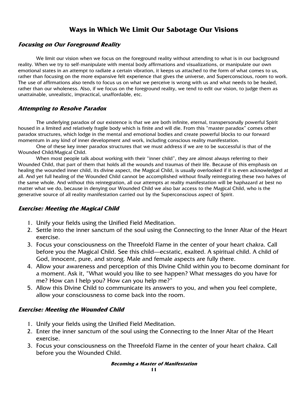# **Ways in Which We Limit Our Sabotage Our Visions**

### **Focusing on Our Foreground Reality**

We limit our vision when we focus on the foreground reality without attending to what is in our background reality. When we try to self-manipulate with mental body affirmations and visualizations, or manipulate our own emotional states in an attempt to radiate a certain vibration, it keeps us attached to the form of what comes to us, rather than focusing on the more expansive felt experience that gives the universe, and Superconscious, room to work. The use of affirmations also tends to focus us on what we perceive is wrong with us and what needs to be healed, rather than our wholeness. Also, if we focus on the foreground reality, we tend to edit our vision, to judge them as unattainable, unrealistic, impractical, unaffordable, etc.

### **Attempting to Resolve Paradox**

The underlying paradox of our existence is that we are both infinite, eternal, transpersonally powerful Spirit housed in a limited and relatively fragile body which is finite and will die. From this "master paradox" comes other paradox structures, which lodge in the mental and emotional bodies and create powerful blocks to our forward momentum in any kind of inner development and work, including conscious reality manifestation.

 One of these key inner paradox structures that we must address if we are to be successful is that of the Wounded Child/Magical Child.

 When most people talk about working with their "inner child", they are almost always referring to their Wounded Child, that part of them that holds all the wounds and traumas of their life. Because of this emphasis on healing the wounded inner child, its divine aspect, the Magical Child, is usually overlooked if it is even acknowledged at all. And yet full healing of the Wounded Child cannot be accomplished without finally reintegrating these two halves of the same whole. And without this reintegration, all our attempts at reality manifestation will be haphazard at best no matter what we do, because in denying our Wounded Child we also bar access to the Magical Child, who is the generative source of all reality manifestation carried out by the Superconscious aspect of Spirit.

### **Exercise: Meeting the Magical Child**

- 1. Unify your fields using the Unified Field Meditation.
- 2. Settle into the inner sanctum of the soul using the Connecting to the Inner Altar of the Heart exercise.
- 3. Focus your consciousness on the Threefold Flame in the center of your heart chakra. Call before you the Magical Child. See this child—ecstatic, exalted. A spiritual child. A child of God, innocent, pure, and strong. Male and female aspects are fully there.
- 4. Allow your awareness and perception of this Divine Child within you to become dominant for a moment. Ask it, "What would you like to see happen? What messages do you have for me? How can I help you? How can you help me?"
- 5. Allow this Divine Child to communicate its answers to you, and when you feel complete, allow your consciousness to come back into the room.

### **Exercise: Meeting the Wounded Child**

- 1. Unify your fields using the Unified Field Meditation.
- 2. Enter the inner sanctum of the soul using the Connecting to the Inner Altar of the Heart exercise.
- 3. Focus your consciousness on the Threefold Flame in the center of your heart chakra. Call before you the Wounded Child.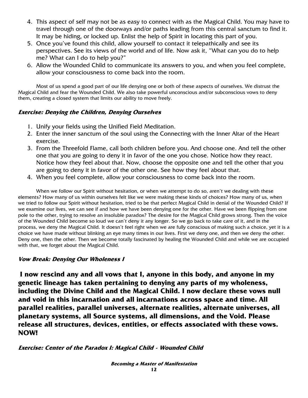- 4. This aspect of self may not be as easy to connect with as the Magical Child. You may have to travel through one of the doorways and/or paths leading from this central sanctum to find it. It may be hiding, or locked up. Enlist the help of Spirit in locating this part of you.
- 5. Once you've found this child, allow yourself to contact it telepathically and see its perspectives. See its views of the world and of life. Now ask it, "What can you do to help me? What can I do to help you?"
- 6. Allow the Wounded Child to communicate its answers to you, and when you feel complete, allow your consciousness to come back into the room.

Most of us spend a good part of our life denying one or both of these aspects of ourselves. We distrust the Magical Child and fear the Wounded Child. We also take powerful unconscious and/or subconscious vows to deny them, creating a closed system that limits our ability to move freely.

### **Exercise: Denying the Children, Denying Ourselves**

- 1. Unify your fields using the Unified Field Meditation.
- 2. Enter the inner sanctum of the soul using the Connecting with the Inner Altar of the Heart exercise.
- 3. From the Threefold Flame, call both children before you. And choose one. And tell the other one that you are going to deny it in favor of the one you chose. Notice how they react. Notice how they feel about that. Now, choose the opposite one and tell the other that you are going to deny it in favor of the other one. See how they feel about that.
- 4. When you feel complete, allow your consciousness to come back into the room.

When we follow our Spirit without hesitation, or when we attempt to do so, aren't we dealing with these elements? How many of us within ourselves felt like we were making these kinds of choices? How many of us, when we tried to follow our Spirit without hesitation, tried to be that perfect Magical Child in denial of the Wounded Child? If we examine our lives, we can see if and how we have been denying one for the other. Have we been flipping from one pole to the other, trying to resolve an insoluble paradox? The desire for the Magical Child grows strong. Then the voice of the Wounded Child become so loud we can't deny it any longer. So we go back to take care of it, and in the process, we deny the Magical Child. It doesn't feel right when we are fully conscious of making such a choice, yet it is a choice we have made without blinking an eye many times in our lives. First we deny one, and then we deny the other. Deny one, then the other. Then we become totally fascinated by healing the Wounded Child and while we are occupied with that, we forget about the Magical Child.

### **Vow Break: Denying Our Wholeness I**

**I now rescind any and all vows that I, anyone in this body, and anyone in my genetic lineage has taken pertaining to denying any parts of my wholeness, including the Divine Child and the Magical Child. I now declare these vows null and void in this incarnation and all incarnations across space and time. All parallel realities, parallel universes, alternate realities, alternate universes, all planetary systems, all Source systems, all dimensions, and the Void. Please release all structures, devices, entities, or effects associated with these vows. NOW!**

### **Exercise: Center of the Paradox I: Magical Child - Wounded Child**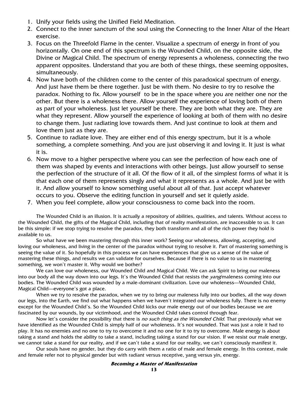- 1. Unify your fields using the Unified Field Meditation.
- 2. Connect to the inner sanctum of the soul using the Connecting to the Inner Altar of the Heart exercise.
- 3. Focus on the Threefold Flame in the center. Visualize a spectrum of energy in front of you horizontally. On one end of this spectrum is the Wounded Child, on the opposite side, the Divine or Magical Child. The spectrum of energy represents a wholeness, connecting the two apparent opposites. Understand that you are both of these things, these seeming opposites, simultaneously.
- 4. Now have both of the children come to the center of this paradoxical spectrum of energy. And just have them be there together. Just be with them. No desire to try to resolve the paradox. Nothing to fix. Allow yourself to be in the space where you are neither one nor the other. But there is a wholeness there. Allow yourself the experience of loving both of them as part of your wholeness. Just let yourself be there. They are both what they are. They are what they represent. Allow yourself the experience of looking at both of them with no desire to change them. Just radiating love towards them. And just continue to look at them and love them just as they are.
- 5. Continue to radiate love. They are either end of this energy spectrum, but it is a whole something, a complete something. And you are just observing it and loving it. It just is what it is.
- 6. Now move to a higher perspective where you can see the perfection of how each one of them was shaped by events and interactions with other beings. Just allow yourself to sense the perfection of the structure of it all. Of the flow of it all, of the simplest forms of what it is that each one of them represents singly and what it represents as a whole. And just be with it. And allow yourself to know something useful about all of that. Just accept whatever occurs to you. Observe the editing function in yourself and set it quietly aside.
- 7. When you feel complete, allow your consciousness to come back into the room.

The Wounded Child is an illusion. It is actually a repository of abilities, qualities, and talents. Without access to the Wounded Child, the gifts of the Magical Child, including that of reality manifestation, are inaccessible to us. It can be this simple: if we stop trying to resolve the paradox, they both transform and all of the rich power they hold is available to us.

So what have we been mastering through this inner work? Seeing our wholeness, allowing, accepting, and loving our wholeness, and living in the center of the paradox without trying to resolve it. Part of mastering something is seeing the value of it. So hopefully in this process we can have experiences that give us a sense of the value of mastering these things, and results we can validate for ourselves. Because if there is no value to us in mastering something, we won't master it. Why would we bother?

We can love our wholeness, our Wounded Child and Magical Child. We can ask Spirit to bring our maleness into our body all the way down into our legs. It's the Wounded Child that resists the *yang*/maleness coming into our bodies. The Wounded Child was wounded by a male-dominant civilization. Love our wholeness—Wounded Child, Magical Child—everyone's got a place.

When we try to resolve the paradox, when we try to bring our maleness fully into our bodies, all the way down our legs, into the Earth, we find out what happens when we haven't integrated our wholeness fully. There is no enemy except for the Wounded Child's. So the Wounded Child kicks our male energy out of our bodies because we are fascinated by our wounds, by our victimhood, and the Wounded Child takes control through fear.

Now let's consider the possibility that there is no such thing as the Wounded Child. That previously what we have identified as the Wounded Child is simply half of our wholeness. It's not wounded. That was just a role it had to play. It has no enemies and no one to try to overcome it and no one for it to try to overcome. Male energy is about taking a stand and holds the ability to take a stand, including taking a stand for our vision. If we resist our male energy, we cannot take a stand for our reality, and if we can't take a stand for our reality, we can't consciously manifest it.

Our souls have no gender, but they do carry with them a ratio of male and female energy. In this context, male and female refer not to physical gender but with radiant versus receptive, yang versus yin, energy.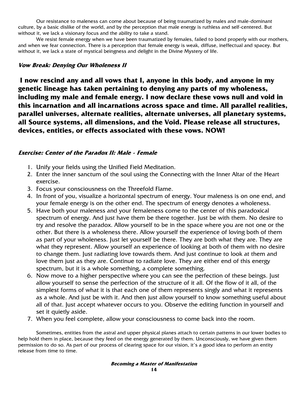Our resistance to maleness can come about because of being traumatized by males and male-dominant culture, by a basic dislike of the world, and by the perception that male energy is ruthless and self-centered. But without it, we lack a visionary focus and the ability to take a stand.

We resist female energy when we have been traumatized by females, failed to bond properly with our mothers, and when we fear connection. There is a perception that female energy is weak, diffuse, ineffectual and spacey. But without it, we lack a state of mystical beingness and delight in the Divine Mystery of life.

### **Vow Break: Denying Our Wholeness II**

**I now rescind any and all vows that I, anyone in this body, and anyone in my genetic lineage has taken pertaining to denying any parts of my wholeness, including my male and female energy. I now declare these vows null and void in this incarnation and all incarnations across space and time. All parallel realities, parallel universes, alternate realities, alternate universes, all planetary systems, all Source systems, all dimensions, and the Void. Please release all structures, devices, entities, or effects associated with these vows. NOW!**

### **Exercise: Center of the Paradox II: Male - Female**

- 1. Unify your fields using the Unified Field Meditation.
- 2. Enter the inner sanctum of the soul using the Connecting with the Inner Altar of the Heart exercise.
- 3. Focus your consciousness on the Threefold Flame.
- 4. In front of you, visualize a horizontal spectrum of energy. Your maleness is on one end, and your female energy is on the other end. The spectrum of energy denotes a wholeness.
- 5. Have both your maleness and your femaleness come to the center of this paradoxical spectrum of energy. And just have them be there together. Just be with them. No desire to try and resolve the paradox. Allow yourself to be in the space where you are not one or the other. But there is a wholeness there. Allow yourself the experience of loving both of them as part of your wholeness. Just let yourself be there. They are both what they are. They are what they represent. Allow yourself an experience of looking at both of them with no desire to change them. Just radiating love towards them. And just continue to look at them and love them just as they are. Continue to radiate love. They are either end of this energy spectrum, but it is a whole something, a complete something.
- 6. Now move to a higher perspective where you can see the perfection of these beings. Just allow yourself to sense the perfection of the structure of it all. Of the flow of it all, of the simplest forms of what it is that each one of them represents singly and what it represents as a whole. And just be with it. And then just allow yourself to know something useful about all of that. Just accept whatever occurs to you. Observe the editing function in yourself and set it quietly aside.
- 7. When you feel complete, allow your consciousness to come back into the room.

Sometimes, entities from the astral and upper physical planes attach to certain patterns in our lower bodies to help hold them in place, because they feed on the energy generated by them. Unconsciously, we have given them permission to do so. As part of our process of clearing space for our vision, it's a good idea to perform an entity release from time to time.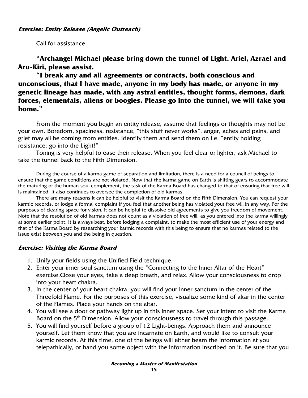#### **Exercise: Entity Release (Angelic Outreach)**

Call for assistance:

**"Archangel Michael please bring down the tunnel of Light. Ariel, Azrael and Aru-Kiri, please assist.** 

**"I break any and all agreements or contracts, both conscious and unconscious, that I have made, anyone in my body has made, or anyone in my genetic lineage has made, with any astral entities, thought forms, demons, dark forces, elementals, aliens or boogies. Please go into the tunnel, we will take you home."** 

From the moment you begin an entity release, assume that feelings or thoughts may not be your own. Boredom, spaciness, resistance, "this stuff never works", anger, aches and pains, and grief may all be coming from entities. Identify them and send them on i.e. "entity holding resistance: go into the Light!"

Toning is very helpful to ease their release. When you feel clear or lighter, ask Michael to take the tunnel back to the Fifth Dimension.

During the course of a karma game of separation and limitation, there is a need for a council of beings to ensure that the game conditions are not violated. Now that the karma game on Earth is shifting gears to accommodate the maturing of the human soul complement, the task of the Karma Board has changed to that of ensuring that free will is maintained. It also continues to oversee the completion of old karmas.

There are many reasons it can be helpful to visit the Karma Board on the Fifth Dimension. You can request your karmic records, or lodge a formal complaint if you feel that another being has violated your free will in any way. For the purposes of clearing space for vision, it can be helpful to dissolve old agreements to give you freedom of movement. Note that the resolution of old karmas does not count as a violation of free will, as you entered into the karma willingly at some earlier point. It is always best, before lodging a complaint, to make the most efficient use of your energy and that of the Karma Board by researching your karmic records with this being to ensure that no karmas related to the issue exist between you and the being in question.

### **Exercise: Visiting the Karma Board**

- 1. Unify your fields using the Unified Field technique.
- 2. Enter your inner soul sanctum using the "Connecting to the Inner Altar of the Heart" exercise.Close your eyes, take a deep breath, and relax. Allow your consciousness to drop into your heart chakra.
- 3. In the center of your heart chakra, you will find your inner sanctum in the center of the Threefold Flame. For the purposes of this exercise, visualize some kind of altar in the center of the Flames. Place your hands on the altar.
- 4. You will see a door or pathway light up in this inner space. Set your intent to visit the Karma Board on the 5<sup>th</sup> Dimension. Allow your consciousness to travel through this passage.
- 5. You will find yourself before a group of 12 Light-beings. Approach them and announce yourself. Let them know that you are incarnate on Earth, and would like to consult your karmic records. At this time, one of the beings will either beam the information at you telepathically, or hand you some object with the information inscribed on it. Be sure that you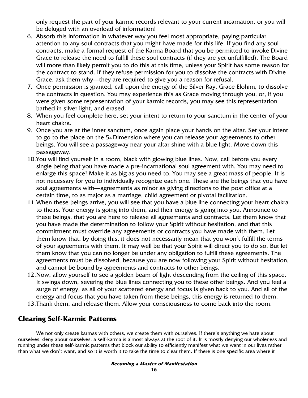only request the part of your karmic records relevant to your current incarnation, or you will be deluged with an overload of information!

- 6. Absorb this information in whatever way you feel most appropriate, paying particular attention to any soul contracts that you might have made for this life. If you find any soul contracts, make a formal request of the Karma Board that you be permitted to invoke Divine Grace to release the need to fulfill these soul contracts (if they are yet unfulfilled). The Board will more than likely permit you to do this at this time, unless your Spirit has some reason for the contract to stand. If they refuse permission for you to dissolve the contracts with Divine Grace, ask them why—they are required to give you a reason for refusal.
- 7. Once permission is granted, call upon the energy of the Silver Ray, Grace Elohim, to dissolve the contracts in question. You may experience this as Grace moving through you, or, if you were given some representation of your karmic records, you may see this representation bathed in silver light, and erased.
- 8. When you feel complete here, set your intent to return to your sanctum in the center of your heart chakra.
- 9. Once you are at the inner sanctum, once again place your hands on the altar. Set your intent to go to the place on the 5th Dimension where you can release your agreements to other beings. You will see a passageway near your altar shine with a blue light. Move down this passageway.
- 10.You will find yourself in a room, black with glowing blue lines. Now, call before you every single being that you have made a pre-incarnational soul agreement with. You may need to enlarge this space! Make it as big as you need to. You may see a great mass of people. It is not necessary for you to individually recognize each one. These are the beings that you have soul agreements with—agreements as minor as giving directions to the post office at a certain time, to as major as a marriage, child agreement or pivotal facilitation.
- 11.When these beings arrive, you will see that you have a blue line connecting your heart chakra to theirs. Your energy is going into them, and their energy is going into you. Announce to these beings, that you are here to release all agreements and contracts. Let them know that you have made the determination to follow your Spirit without hesitation, and that this commitment must override any agreements or contracts you have made with them. Let them know that, by doing this, it does not necessarily mean that you won't fulfill the terms of your agreements with them. It may well be that your Spirit will direct you to do so. But let them know that you can no longer be under any obligation to fulfill these agreements. The agreements must be dissolved, because you are now following your Spirit without hesitation, and cannot be bound by agreements and contracts to other beings.
- 12.Now, allow yourself to see a golden beam of light descending from the ceiling of this space. It swings down, severing the blue lines connecting you to these other beings. And you feel a surge of energy, as all of your scattered energy and focus is given back to you. And all of the energy and focus that you have taken from these beings, this energy is returned to them.
- 13.Thank them, and release them. Allow your consciousness to come back into the room.

## **Clearing Self-Karmic Patterns**

We not only create karmas with others, we create them with ourselves. If there's anything we hate about ourselves, deny about ourselves, a self-karma is almost always at the root of it. It is mostly denying our wholeness and running under these self-karmic patterns that block our ability to efficiently manifest what we want in our lives rather than what we don't want, and so it is worth it to take the time to clear them. If there is one specific area where it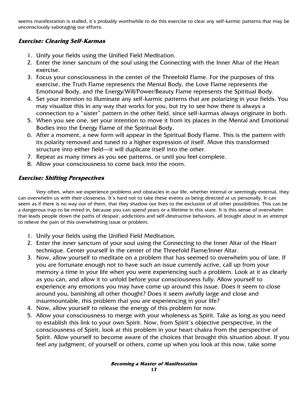seems manifestation is stalled, it's probably worthwhile to do this exercise to clear any self-karmic patterns that may be unconsciously sabotaging our efforts.

### **Exercise: Clearing Self-Karmas**

- 1. Unify your fields using the Unified Field Meditation.
- 2. Enter the inner sanctum of the soul using the Connecting with the Inner Altar of the Heart exercise.
- 3. Focus your consciousness in the center of the Threefold Flame. For the purposes of this exercise, the Truth Flame represents the Mental Body, the Love Flame represents the Emotional Body, and the Energy/Will/Power/Beauty Flame represents the Spiritual Body.
- 4. Set your intention to illuminate any self-karmic patterns that are polarizing in your fields. You may visualize this in any way that works for you, but try to see how there is always a connection to a "sister" pattern in the other field, since self-karmas always originate in both.
- 5. When you see one, set your intention to move it from its places in the Mental and Emotional Bodies into the Energy Flame of the Spiritual Body.
- 6. After a moment, a new form will appear in the Spiritual Body Flame. This is the pattern with its polarity removed and tuned to a higher expression of itself. Move this transformed structure into either field—it will duplicate itself into the other.
- 7. Repeat as many times as you see patterns, or until you feel complete.
- 8. Allow your consciousness to come back into the room.

## **Exercise: Shifting Perspectives**

Very often, when we experience problems and obstacles in our life, whether internal or seemingly external, they can overwhelm us with their closeness. It's hard not to take these events as being directed at us personally. It can seem as if there is no way out of them, that they shadow our lives to the exclusion of all other possibilities. This can be a dangerous trap to be mired in, because you can spend years or a lifetime in this state. It is this sense of overwhelm that leads people down the paths of despair, addictions and self-destructive behaviors, all brought about in an attempt to relieve the pain of this overwhelming issue or problem.

- 1. Unify your fields using the Unified Field Meditation.
- 2. Enter the inner sanctum of your soul using the Connecting to the Inner Altar of the Heart technique. Center yourself in the center of the Threefold Flame/Inner Altar.
- 3. Now, allow yourself to meditate on a problem that has seemed to overwhelm you of late. If you are fortunate enough not to have such an issue currently active, call up from your memory a time in your life when you were experiencing such a problem. Look at it as clearly as you can, and allow it to unfold before your consciousness fully. Allow yourself to experience any emotions you may have come up around this issue. Does it seem to close around you, banishing all other thought? Does it seem awfully large and close and insurmountable, this problem that you are experiencing in your life?
- 4. Now, allow yourself to release the energy of this problem for now.
- 5. Allow your consciousness to merge with your wholeness as Spirit. Take as long as you need to establish this link to your own Spirit. Now, from Spirit's objective perspective, in the consciousness of Spirit, look at this problem in your heart chakra from the perspective of Spirit. Allow yourself to become aware of the choices that brought this situation about. If you feel any judgment, of yourself or others, come up when you look at this now, take some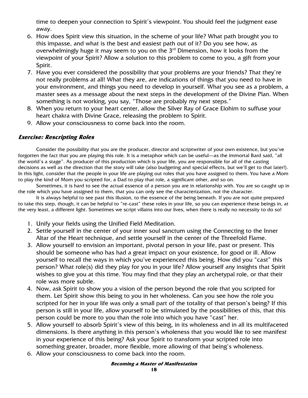time to deepen your connection to Spirit's viewpoint. You should feel the judgment ease away.

- 6. How does Spirit view this situation, in the scheme of your life? What path brought you to this impasse, and what is the best and easiest path out of it? Do you see how, as overwhelmingly huge it may seem to you on the  $3<sup>rd</sup>$  Dimension, how it looks from the viewpoint of your Spirit? Allow a solution to this problem to come to you, a gift from your Spirit.
- 7. Have you ever considered the possibility that your problems are your friends? That they're not really problems at all! What they are, are indications of things that you need to have in your environment, and things you need to develop in yourself. What you see as a problem, a master sees as a message about the next steps in the development of the Divine Plan. When something is not working, you say, "Those are probably my next steps."
- 8. When you return to your heart center, allow the Silver Ray of Grace Elohim to suffuse your heart chakra with Divine Grace, releasing the problem to Spirit.
- 9. Allow your consciousness to come back into the room.

### **Exercise: Rescripting Roles**

Consider the possibility that you are the producer, director and scriptwriter of your own existence, but you've forgotten the fact that you are playing this role. It is a metaphor which can be useful—as the immortal Bard said, "all the world's a stage". As producer of this production which is your life, you are responsible for all of the casting decisions as well as the direction that the story will take (also budgeting and special effects, but we'll get to that later!). In this light, consider that the people in your life are playing out roles that you have assigned to them. You have a Mom to play the kind of Mom you scripted for, a Dad to play that role, a significant other, and so on.

Sometimes, it is hard to see the actual essence of a person you are in relationship with. You are so caught up in the role which you have assigned to them, that you can only see the characterization, not the character.

It is always helpful to see past this illusion, to the essence of the being beneath. If you are not quite prepared to take this step, though, it can be helpful to "re-cast" these roles in your life, so you can experience these beings in, at the very least, a different light. Sometimes we script villains into our lives, when there is really no necessity to do so!

- 1. Unify your fields using the Unified Field Meditation.
- 2. Settle yourself in the center of your inner soul sanctum using the Connecting to the Inner Altar of the Heart technique, and settle yourself in the center of the Threefold Flame.
- 3. Allow yourself to envision an important, pivotal person in your life, past or present. This should be someone who has had a great impact on your existence, for good or ill. Allow yourself to recall the ways in which you've experienced this being. How did you "cast" this person? What role(s) did they play for you in your life? Allow yourself any insights that Spirit wishes to give you at this time. You may find that they play an archetypal role, or that their role was more subtle.
- 4. Now, ask Spirit to show you a vision of the person beyond the role that you scripted for them. Let Spirit show this being to you in her wholeness. Can you see how the role you scripted for her in your life was only a small part of the totality of that person's being? If this person is still in your life, allow yourself to be stimulated by the possibilities of this, that this person could be more to you than the role into which you have "cast" her.
- 5. Allow yourself to absorb Spirit's view of this being, in its wholeness and in all its multifaceted dimensions. Is there anything in this person's wholeness that you would like to see manifest in your experience of this being? Ask your Spirit to transform your scripted role into something greater, broader, more flexible, more allowing of that being's wholeness.
- 6. Allow your consciousness to come back into the room.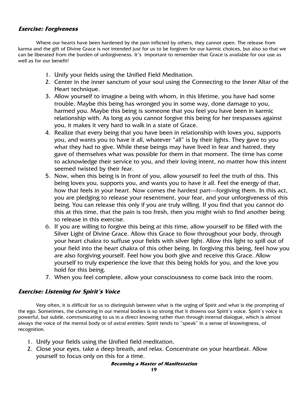### **Exercise: Forgiveness**

Where our hearts have been hardened by the pain inflicted by others, they cannot open. The release from karma and the gift of Divine Grace is not intended just for us to be forgiven for our karmic choices, but also so that we can be liberated from the burden of unforgiveness. It's important to remember that Grace is available for our use as well as for our benefit!

- 1. Unify your fields using the Unified Field Meditation.
- 2. Center in the inner sanctum of your soul using the Connecting to the Inner Altar of the Heart technique.
- 3. Allow yourself to imagine a being with whom, in this lifetime, you have had some trouble. Maybe this being has wronged you in some way, done damage to you, harmed you. Maybe this being is someone that you feel you have been in karmic relationship with. As long as you cannot forgive this being for her trespasses against you, it makes it very hard to walk in a state of Grace.
- 4. Realize that every being that you have been in relationship with loves you, supports you, and wants you to have it all, whatever "all" is by their lights. They gave to you what they had to give. While these beings may have lived in fear and hatred, they gave of themselves what was possible for them in that moment. The time has come to acknowledge their service to you, and their loving intent, no matter how this intent seemed twisted by their fear.
- 5. Now, when this being is in front of you, allow yourself to feel the truth of this. This being loves you, supports you, and wants you to have it all. Feel the energy of that, how that feels in your heart. Now comes the hardest part—forgiving them. In this act, you are pledging to release your resentment, your fear, and your unforgiveness of this being. You can release this only if you are truly willing. If you find that you cannot do this at this time, that the pain is too fresh, then you might wish to find another being to release in this exercise.
- 6. If you are willing to forgive this being at this time, allow yourself to be filled with the Silver Light of Divine Grace. Allow this Grace to flow throughout your body, through your heart chakra to suffuse your fields with silver light. Allow this light to spill out of your field into the heart chakra of this other being. In forgiving this being, feel how you are also forgiving yourself. Feel how you both give and receive this Grace. Allow yourself to truly experience the love that this being holds for you, and the love you hold for this being.
- 7. When you feel complete, allow your consciousness to come back into the room.

#### **Exercise: Listening for Spirit's Voice**

Very often, it is difficult for us to distinguish between what is the urging of Spirit and what is the prompting of the ego. Sometimes, the clamoring in our mental bodies is so strong that it drowns out Spirit's voice. Spirit's voice is powerful, but subtle, communicating to us in a direct knowing rather than through internal dialogue, which is almost always the voice of the mental body or of astral entities. Spirit tends to "speak" in a sense of knowingness, of recognition.

- 1. Unify your fields using the Unified field meditation.
- 2. Close your eyes, take a deep breath, and relax. Concentrate on your heartbeat. Allow yourself to focus only on this for a time.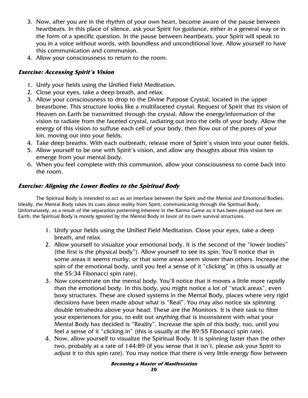- 3. Now, after you are in the rhythm of your own heart, become aware of the pause between heartbeats. In this place of silence, ask your Spirit for guidance, either in a general way or in the form of a specific question. In the pause between heartbeats, your Spirit will speak to you in a voice without words, with boundless and unconditional love. Allow yourself to have this communication and communion.
- 4. Allow your consciousness to return to the room.

## **Exercise: Accessing Spirit's Vision**

- 1. Unify your fields using the Unified Field Meditation.
- 2. Close your eyes, take a deep breath, and relax.
- 3. Allow your consciousness to drop to the Divine Purpose Crystal, located in the upper breastbone. This structure looks like a multifaceted crystal. Request of Spirit that its vision of Heaven on Earth be transmitted through the crystal. Allow the energy/information of the vision to radiate from the faceted crystal, radiating out into the cells of your body. Allow the energy of this vision to suffuse each cell of your body, then flow out of the pores of your kin, moving out into your fields.
- 4. Take deep breaths. With each outbreath, release more of Spirit's vision into your outer fields.
- 5. Allow yourself to be one with Spirit's vision, and allow any thoughts about this vision to emerge from your mental body.
- 6. When you feel complete with this communion, allow your consciousness to come back into the room.

## **Exercise: Aligning the Lower Bodies to the Spiritual Body**

The Spiritual Body is intended to act as an interface between the Spirit and the Mental and Emotional Bodies. Ideally, the Mental Body takes its cues about reality from Spirit, communicating through the Spiritual Body. Unfortunately, as a result of the separation patterning inherent in the Karma Game as it has been played out here on Earth, the Spiritual Body is mostly ignored by the Mental Body in favor of its own survival structures.

- 1. Unify your fields using the Unified Field Meditation. Close your eyes, take a deep breath, and relax.
- 2. Allow yourself to visualize your emotional body. It is the second of the "lower bodies" (the first is the physical body"). Allow yourself to see its spin. You'll notice that in some areas it seems murky, or that some areas seem slower than others. Increase the spin of the emotional body, until you feel a sense of it "clicking" in (this is usually at the 55:34 Fibonacci spin rate).
- 3. Now concentrate on the mental body. You'll notice that it moves a little more rapidly than the emotional body. In this body, you might notice a lot of "stuck areas", even boxy structures. These are closed systems in the Mental Body, places where very rigid decisions have been made about what is "Real". You may also notice six spinning double tetrahedra above your head. These are the Monitors. It is their task to filter your experiences for you, to edit out anything that is inconsistent with what your Mental Body has decided is "Reality". Increase the spin of this body, too, until you feel a sense of it "clicking in" (this is usually at the 89:55 Fibonacci spin rate).
- 4. Now, allow yourself to visualize the Spiritual Body. It is spinning faster than the other two, probably at a rate of 144:89 (if you sense that it isn't, please ask your Spirit to adjust it to this spin rate). You may notice that there is very little energy flow between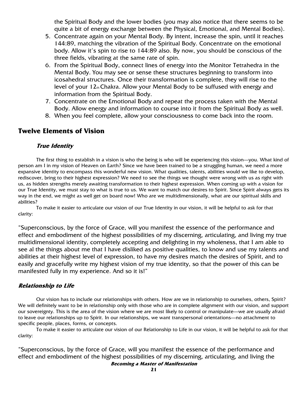the Spiritual Body and the lower bodies (you may also notice that there seems to be quite a bit of energy exchange between the Physical, Emotional, and Mental Bodies).

- 5. Concentrate again on your Mental Body. By intent, increase the spin, until it reaches 144:89, matching the vibration of the Spiritual Body. Concentrate on the emotional body. Allow it's spin to rise to 144:89 also. By now, you should be conscious of the three fields, vibrating at the same rate of spin.
- 6. From the Spiritual Body, connect lines of energy into the Monitor Tetrahedra in the Mental Body. You may see or sense these structures beginning to transform into icosahedral structures. Once their transformation is complete, they will rise to the level of your 12th Chakra. Allow your Mental Body to be suffused with energy and information from the Spiritual Body.
- 7. Concentrate on the Emotional Body and repeat the process taken with the Mental Body. Allow energy and information to course into it from the Spiritual Body as well.
- 8. When you feel complete, allow your consciousness to come back into the room.

## **Twelve Elements of Vision**

#### **True Identity**

The first thing to establish in a vision is who the being is who will be experiencing this vision—you. What kind of person am I in my vision of Heaven on Earth? Since we have been trained to be a struggling human, we need a more expansive identity to encompass this wonderful new vision. What qualities, talents, abilities would we like to develop, rediscover, bring to their highest expression? We need to see the things we thought were wrong with us as right with us, as hidden strengths merely awaiting transformation to their highest expression. When coming up with a vision for our True Identity, we must stay to what is true to us. We want to match our desires to Spirit. Since Spirit always gets its way in the end, we might as well get on board now! Who are we multidimensionally, what are our spiritual skills and abilities?

 To make it easier to articulate our vision of our True Identity in our vision, it will be helpful to ask for that clarity:

"Superconscious, by the force of Grace, will you manifest the essence of the performance and effect and embodiment of the highest possibilities of my discerning, articulating, and living my true multidimensional identity, completely accepting and delighting in my wholeness, that I am able to see al the things about me that I have disliked as positive qualities, to know and use my talents and abilities at their highest level of expression, to have my desires match the desires of Spirit, and to easily and gracefully write my highest vision of my true identity, so that the power of this can be manifested fully in my experience. And so it is!"

#### **Relationship to Life**

Our vision has to include our relationships with others. How are we in relationship to ourselves, others, Spirit? We will definitely want to be in relationship only with those who are in complete alignment with our vision, and support our sovereignty. This is the area of the vision where we are most likely to control or manipulate—we are usually afraid to leave our relationships up to Spirit. In our relationships, we want transpersonal orientations—no attachment to specific people, places, forms, or concepts.

 To make it easier to articulate our vision of our Relationship to Life in our vision, it will be helpful to ask for that clarity:

**Becoming a Master of Manifestation**  "Superconscious, by the force of Grace, will you manifest the essence of the performance and effect and embodiment of the highest possibilities of my discerning, articulating, and living the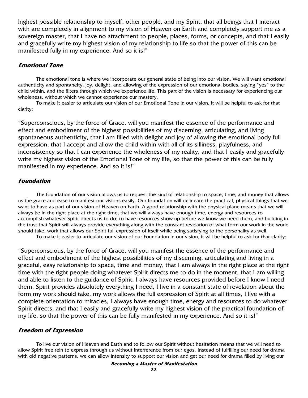highest possible relationship to myself, other people, and my Spirit, that all beings that I interact with are completely in alignment to my vision of Heaven on Earth and completely support me as a sovereign master, that I have no attachment to people, places, forms, or concepts, and that I easily and gracefully write my highest vision of my relationship to life so that the power of this can be manifested fully in my experience. And so it is!"

#### **Emotional Tone**

The emotional tone is where we incorporate our general state of being into our vision. We will want emotional authenticity and spontaneity, joy, delight, and allowing of the expression of our emotional bodies, saying "yes" to the child within, and the filters through which we experience life. This part of the vision is necessary for experiencing our wholeness, without which we cannot experience our mastery.

To make it easier to articulate our vision of our Emotional Tone in our vision, it will be helpful to ask for that clarity:

"Superconscious, by the force of Grace, will you manifest the essence of the performance and effect and embodiment of the highest possibilities of my discerning, articulating, and living spontaneous authenticity, that I am filled with delight and joy of allowing the emotional body full expression, that I accept and allow the child within with all of its silliness, playfulness, and inconsistency so that I can experience the wholeness of my reality, and that I easily and gracefully write my highest vision of the Emotional Tone of my life, so that the power of this can be fully manifested in my experience. And so it is!"

#### **Foundation**

The foundation of our vision allows us to request the kind of relationship to space, time, and money that allows us the grace and ease to manifest our visions easily. Our foundation will delineate the practical, physical things that we want to have as part of our vision of Heaven on Earth. A good relationship with the physical plane means that we will always be in the right place at the right time, that we will always have enough time, energy and resources to accomplish whatever Spirit directs us to do, to have resources show up before we know we need them, and building in the trust that Spirit will always provide everything along with the constant revelation of what form our work in the world should take, work that allows our Spirit full expression of itself while being satisfying to the personality as well.

To make it easier to articulate our vision of our Foundation in our vision, it will be helpful to ask for that clarity:

"Superconscious, by the force of Grace, will you manifest the essence of the performance and effect and embodiment of the highest possibilities of my discerning, articulating and living in a graceful, easy relationship to space, time and money, that I am always in the right place at the right time with the right people doing whatever Spirit directs me to do in the moment, that I am willing and able to listen to the guidance of Spirit, I always have resources provided before I know I need them, Spirit provides absolutely everything I need, I live in a constant state of revelation about the form my work should take, my work allows the full expression of Spirit at all times, I live with a complete orientation to miracles, I always have enough time, energy and resources to do whatever Spirit directs, and that I easily and gracefully write my highest vision of the practical foundation of my life, so that the power of this can be fully manifested in my experience. And so it is!"

#### **Freedom of Expression**

To live our vision of Heaven and Earth and to follow our Spirit without hesitation means that we will need to allow Spirit free rein to express through us without interference from our egos. Instead of fulfilling our need for drama with old negative patterns, we can allow intensity to support our vision and get our need for drama filled by living our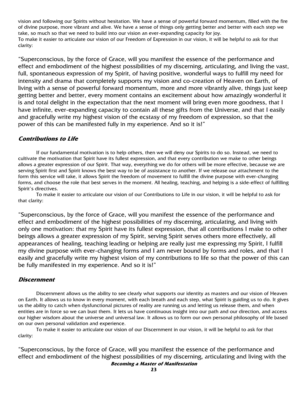vision and following our Spirits without hesitation. We have a sense of powerful forward momentum, filled with the fire of divine purpose, more vibrant and alive. We have a sense of things only getting better and better with each step we take, so much so that we need to build into our vision an ever-expanding capacity for joy. To make it easier to articulate our vision of our Freedom of Expression in our vision, it will be helpful to ask for that clarity:

"Superconscious, by the force of Grace, will you manifest the essence of the performance and effect and embodiment of the highest possibilities of my discerning, articulating, and living the vast, full, spontaneous expression of my Spirit, of having positive, wonderful ways to fulfill my need for intensity and drama that completely supports my vision and co-creation of Heaven on Earth, of living with a sense of powerful forward momentum, more and more vibrantly alive, things just keep getting better and better, every moment contains an excitement about how amazingly wonderful it is and total delight in the expectation that the next moment will bring even more goodness, that I have infinite, ever-expanding capacity to contain all these gifts from the Universe, and that I easily and gracefully write my highest vision of the ecstasy of my freedom of expression, so that the power of this can be manifested fully in my experience. And so it is!"

#### **Contributions to Life**

If our fundamental motivation is to help others, then we will deny our Spirits to do so. Instead, we need to cultivate the motivation that Spirit have its fullest expression, and that every contribution we make to other beings allows a greater expression of our Spirit. That way, everything we do for others will be more effective, because we are serving Spirit first and Spirit knows the best way to be of assistance to another. If we release our attachment to the form this service will take, it allows Spirit the freedom of movement to fulfill the divine purpose with ever-changing forms, and choose the role that best serves in the moment. All healing, teaching, and helping is a side-effect of fulfilling Spirit's directives.

To make it easier to articulate our vision of our Contributions to Life in our vision, it will be helpful to ask for that clarity:

"Superconscious, by the force of Grace, will you manifest the essence of the performance and effect and embodiment of the highest possibilities of my discerning, articulating, and living with only one motivation: that my Spirit have its fullest expression, that all contributions I make to other beings allows a greater expression of my Spirit, serving Spirit serves others more effectively, all appearances of healing, teaching leading or helping are really just me expressing my Spirit, I fulfill my divine purpose with ever-changing forms and I am never bound by forms and roles, and that I easily and gracefully write my highest vision of my contributions to life so that the power of this can be fully manifested in my experience. And so it is!"

#### **Discernment**

 Discernment allows us the ability to see clearly what supports our identity as masters and our vision of Heaven on Earth. It allows us to know in every moment, with each breath and each step, what Spirit is guiding us to do. It gives us the ability to catch when dysfunctional pictures of reality are running us and letting us release them, and when entities are in force so we can bust them. It lets us have continuous insight into our path and our direction, and access our higher wisdom about the universe and universal law. It allows us to form our own personal philosophy of life based on our own personal validation and experience.

To make it easier to articulate our vision of our Discernment in our vision, it will be helpful to ask for that clarity:

**Becoming a Master of Manifestation**  "Superconscious, by the force of Grace, will you manifest the essence of the performance and effect and embodiment of the highest possibilities of my discerning, articulating and living with the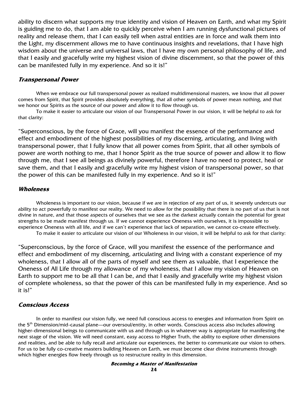ability to discern what supports my true identity and vision of Heaven on Earth, and what my Spirit is guiding me to do, that I am able to quickly perceive when I am running dysfunctional pictures of reality and release them, that I can easily tell when astral entities are in force and walk them into the Light, my discernment allows me to have continuous insights and revelations, that I have high wisdom about the universe and universal laws, that I have my own personal philosophy of life, and that I easily and gracefully write my highest vision of divine discernment, so that the power of this can be manifested fully in my experience. And so it is!"

#### **Transpersonal Power**

When we embrace our full transpersonal power as realized multidimensional masters, we know that all power comes from Spirit, that Spirit provides absolutely everything, that all other symbols of power mean nothing, and that we honor our Spirits as the source of our power and allow it to flow through us.

 To make it easier to articulate our vision of our Transpersonal Power in our vision, it will be helpful to ask for that clarity:

"Superconscious, by the force of Grace, will you manifest the essence of the performance and effect and embodiment of the highest possibilities of my discerning, articulating, and living with transpersonal power, that I fully know that all power comes from Spirit, that all other symbols of power are worth nothing to me, that I honor Spirit as the true source of power and allow it to flow through me, that I see all beings as divinely powerful, therefore I have no need to protect, heal or save them, and that I easily and gracefully write my highest vision of transpersonal power, so that the power of this can be manifested fully in my experience. And so it is!"

#### **Wholeness**

Wholeness is important to our vision, because if we are in rejection of any part of us, it severely undercuts our ability to act powerfully to manifest our reality. We need to allow for the possibility that there is no part of us that is not divine in nature, and that those aspects of ourselves that we see as the darkest actually contain the potential for great strengths to be made manifest through us. If we cannot experience Oneness with ourselves, it is impossible to experience Oneness with all life, and if we can't experience that lack of separation, we cannot co-create effectively. To make it easier to articulate our vision of our Wholeness in our vision, it will be helpful to ask for that clarity:

"Superconscious, by the force of Grace, will you manifest the essence of the performance and effect and embodiment of my discerning, articulating and living with a constant experience of my wholeness, that I allow all of the parts of myself and see them as valuable, that I experience the Oneness of All Life through my allowance of my wholeness, that I allow my vision of Heaven on Earth to support me to be all that I can be, and that I easily and gracefully write my highest vision of complete wholeness, so that the power of this can be manifested fully in my experience. And so it is!"

#### **Conscious Access**

In order to manifest our vision fully, we need full conscious access to energies and information from Spirit on the 5th Dimension/mid-causal plane—our oversoul/entity, in other words. Conscious access also includes allowing higher-dimensional beings to communicate with us and through us in whatever way is appropriate for manifesting the next stage of the vision. We will need constant, easy access to Higher Truth, the ability to explore other dimensions and realities, and be able to fully recall and articulate our experiences, the better to communicate our vision to others. For us to be fully co-creative masters building Heaven on Earth, we must become clear divine instruments through which higher energies flow freely through us to restructure reality in this dimension.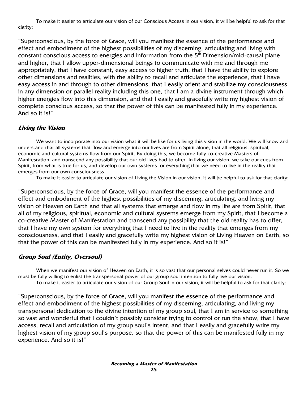To make it easier to articulate our vision of our Conscious Access in our vision, it will be helpful to ask for that clarity:

"Superconscious, by the force of Grace, will you manifest the essence of the performance and effect and embodiment of the highest possibilities of my discerning, articulating and living with constant conscious access to energies and information from the 5<sup>th</sup> Dimension/mid-causal plane and higher, that I allow upper-dimensional beings to communicate with me and through me appropriately, that I have constant, easy access to higher truth, that I have the ability to explore other dimensions and realities, with the ability to recall and articulate the experience, that I have easy access in and through to other dimensions, that I easily orient and stabilize my consciousness in any dimension or parallel reality including this one, that I am a divine instrument through which higher energies flow into this dimension, and that I easily and gracefully write my highest vision of complete conscious access, so that the power of this can be manifested fully in my experience. And so it is!"

### **Living the Vision**

We want to incorporate into our vision what it will be like for us living this vision in the world. We will know and understand that all systems that flow and emerge into our lives are from Spirit alone, that all religious, spiritual, economic and cultural systems flow from our Spirit. By doing this, we become fully co-creative Masters of Manifestation, and transcend any possibility that our old lives had to offer. In living our vision, we take our cues from Spirit, from what is true for us, and develop our own systems for everything that we need to live in the reality that emerges from our own consciousness.

To make it easier to articulate our vision of Living the Vision in our vision, it will be helpful to ask for that clarity:

"Superconscious, by the force of Grace, will you manifest the essence of the performance and effect and embodiment of the highest possibilities of my discerning, articulating, and living my vision of Heaven on Earth and that all systems that emerge and flow in my life are from Spirit, that all of my religious, spiritual, economic and cultural systems emerge from my Spirit, that I become a co-creative Master of Manifestation and transcend any possibility that the old reality has to offer, that I have my own system for everything that I need to live in the reality that emerges from my consciousness, and that I easily and gracefully write my highest vision of Living Heaven on Earth, so that the power of this can be manifested fully in my experience. And so it is!"

### **Group Soul (Entity, Oversoul)**

When we manifest our vision of Heaven on Earth, it is so vast that our personal selves could never run it. So we must be fully willing to enlist the transpersonal power of our group soul intention to fully live our vision. To make it easier to articulate our vision of our Group Soul in our vision, it will be helpful to ask for that clarity:

"Superconscious, by the force of Grace, will you manifest the essence of the performance and effect and embodiment of the highest possibilities of my discerning, articulating, and living my transpersonal dedication to the divine intention of my group soul, that I am in service to something so vast and wonderful that I couldn't possibly consider trying to control or run the show, that I have access, recall and articulation of my group soul's intent, and that I easily and gracefully write my highest vision of my group soul's purpose, so that the power of this can be manifested fully in my experience. And so it is!"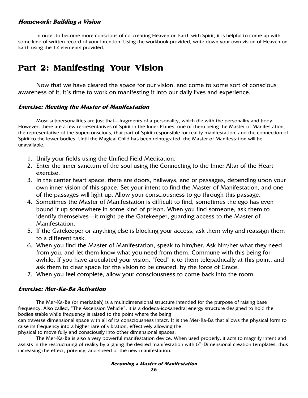#### **Homework: Building a Vision**

In order to become more conscious of co-creating Heaven on Earth with Spirit, it is helpful to come up with some kind of written record of your intention. Using the workbook provided, write down your own vision of Heaven on Earth using the 12 elements provided.

# Part 2: Manifesting Your Vision

Now that we have cleared the space for our vision, and come to some sort of conscious awareness of it, it's time to work on manifesting it into our daily lives and experience.

#### **Exercise: Meeting the Master of Manifestation**

Most subpersonalities are just that—fragments of a personality, which die with the personality and body. However, there are a few representatives of Spirit in the Inner Planes, one of them being the Master of Manifestation, the representative of the Superconscious, that part of Spirit responsible for reality manifestation, and the connection of Spirit to the lower bodies. Until the Magical Child has been reintegrated, the Master of Manifestation will be unavailable.

- 1. Unify your fields using the Unified Field Meditation.
- 2. Enter the inner sanctum of the soul using the Connecting to the Inner Altar of the Heart exercise.
- 3. In the center heart space, there are doors, hallways, and or passages, depending upon your own inner vision of this space. Set your intent to find the Master of Manifestation, and one of the passages will light up. Allow your consciousness to go through this passage.
- 4. Sometimes the Master of Manifestation is difficult to find, sometimes the ego has even bound it up somewhere in some kind of prison. When you find someone, ask them to identify themselves—it might be the Gatekeeper, guarding access to the Master of Manifestation.
- 5. If the Gatekeeper or anything else is blocking your access, ask them why and reassign them to a different task.
- 6. When you find the Master of Manifestation, speak to him/her. Ask him/her what they need from you, and let them know what you need from them. Commune with this being for awhile. If you have articulated your vision, "feed" it to them telepathically at this point, and ask them to clear space for the vision to be created, by the force of Grace.
- 7. When you feel complete, allow your consciousness to come back into the room.

#### **Exercise: Mer-Ka-Ba Activation**

The Mer-Ka-Ba (or merkabah) is a multidimensional structure intended for the purpose of raising base frequency. Also called, "The Ascension Vehicle", it is a dodeca-icosahedral energy structure designed to hold the bodies stable while frequency is raised to the point where the being

can traverse dimensional space with all of its consciousness intact. It is the Mer-Ka-Ba that allows the physical form to raise its frequency into a higher rate of vibration, effectively allowing the

physical to move fully and consciously into other dimensional spaces.

The Mer-Ka-Ba is also a very powerful manifestation device. When used properly, it acts to magnify intent and assists in the restructuring of reality by aligning the desired manifestation with  $6<sup>th</sup>$ -Dimensional creation templates, thus increasing the effect, potency, and speed of the new manifestation.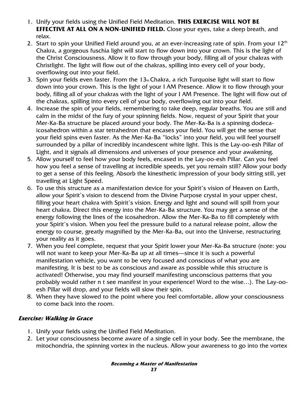- 1. Unify your fields using the Unified Field Meditation. **THIS EXERCISE WILL NOT BE EFFECTIVE AT ALL ON A NON-UNIFIED FIELD.** Close your eyes, take a deep breath, and relax.
- 2. Start to spin your Unified Field around you, at an ever-increasing rate of spin. From your  $12<sup>th</sup>$ Chakra, a gorgeous fuschia light will start to flow down into your crown. This is the light of the Christ Consciousness. Allow it to flow through your body, filling all of your chakras with Christlight. The light will flow out of the chakras, spilling into every cell of your body, overflowing out into your field.
- 3. Spin your fields even faster. From the  $13<sub>th</sub>$ Chakra, a rich Turquoise light will start to flow down into your crown. This is the light of your I AM Presence. Allow it to flow through your body, filling all of your chakras with the light of your I AM Presence. The light will flow out of the chakras, spilling into every cell of your body, overflowing out into your field.
- 4. Increase the spin of your fields, remembering to take deep, regular breaths. You are still and calm in the midst of the fury of your spinning fields. Now, request of your Spirit that your Mer-Ka-Ba structure be placed around your body. The Mer-Ka-Ba is a spinning dodecaicosahedron within a star tetrahedron that encases your field. You will get the sense that your field spins even faster. As the Mer-Ka-Ba "locks" into your field, you will feel yourself surrounded by a pillar of incredibly incandescent white light. This is the Lay-oo-esh Pillar of Light, and it signals all dimensions and universes of your presence and your awakening.
- 5. Allow yourself to feel how your body feels, encased in the Lay-oo-esh Pillar. Can you feel how you feel a sense of travelling at incredible speeds, yet you remain still? Allow your body to get a sense of this feeling. Absorb the kinesthetic impression of your body sitting still, yet travelling at Light Speed.
- 6. To use this structure as a manifestation device for your Spirit's vision of Heaven on Earth, allow your Spirit's vision to descend from the Divine Purpose crystal in your upper chest, filling your heart chakra with Spirit's vision. Energy and light and sound will spill from your heart chakra. Direct this energy into the Mer-Ka-Ba structure. You may get a sense of the energy following the lines of the icosahedron. Allow the Mer-Ka-Ba to fill completely with your Spirit's vision. When you feel the pressure build to a natural release point, allow the energy to course, greatly magnified by the Mer-Ka-Ba, out into the Universe, restructuring your reality as it goes.
- 7. When you feel complete, request that your Spirit lower your Mer-Ka-Ba structure (note: you will not want to keep your Mer-Ka-Ba up at all times—since it is such a powerful manifestation vehicle, you want to be very focused and conscious of what you are manifesting. It is best to be as conscious and aware as possible while this structure is activated! Otherwise, you may find yourself manifesting unconscious patterns that you probably would rather n t see manifest in your experience! Word to the wise…). The Lay-ooesh Pillar will drop, and your fields will slow their spin.
- 8. When they have slowed to the point where you feel comfortable, allow your consciousness to come back into the room.

## **Exercise: Walking in Grace**

- 1. Unify your fields using the Unified Field Meditation.
- 2. Let your consciousness become aware of a single cell in your body. See the membrane, the mitochondria, the spinning vortex in the nucleus. Allow your awareness to go into the vortex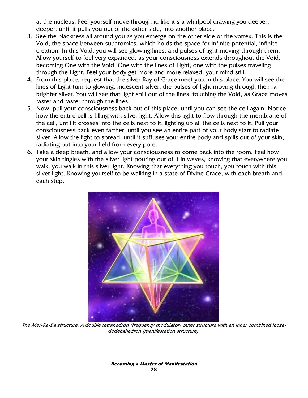at the nucleus. Feel yourself move through it, like it's a whirlpool drawing you deeper, deeper, until it pulls you out of the other side, into another place.

- 3. See the blackness all around you as you emerge on the other side of the vortex. This is the Void, the space between subatomics, which holds the space for infinite potential, infinite creation. In this Void, you will see glowing lines, and pulses of light moving through them. Allow yourself to feel very expanded, as your consciousness extends throughout the Void, becoming One with the Void, One with the lines of Light, one with the pulses traveling through the Light. Feel your body get more and more relaxed, your mind still.
- 4. From this place, request that the silver Ray of Grace meet you in this place. You will see the lines of Light turn to glowing, iridescent silver, the pulses of light moving through them a brighter silver. You will see that light spill out of the lines, touching the Void, as Grace moves faster and faster through the lines.
- 5. Now, pull your consciousness back out of this place, until you can see the cell again. Notice how the entire cell is filling with silver light. Allow this light to flow through the membrane of the cell, until it crosses into the cells next to it, lighting up all the cells next to it. Pull your consciousness back even farther, until you see an entire part of your body start to radiate silver. Allow the light to spread, until it suffuses your entire body and spills out of your skin, radiating out into your field from every pore.
- 6. Take a deep breath, and allow your consciousness to come back into the room. Feel how your skin tingles with the silver light pouring out of it in waves, knowing that everywhere you walk, you walk in this silver light. Knowing that everything you touch, you touch with this silver light. Knowing yourself to be walking in a state of Divine Grace, with each breath and each step.



The Mer-Ka-Ba structure. A double tetrahedron (frequency modulator) outer structure with an inner combined icosadodecahedron (manifestation structure).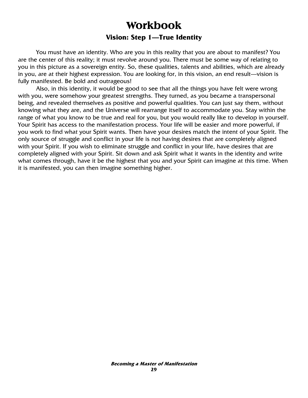# **Workbook Workbook Vision: Step 1—True Identity**

 You must have an identity. Who are you in this reality that you are about to manifest? You are the center of this reality; it must revolve around you. There must be some way of relating to you in this picture as a sovereign entity. So, these qualities, talents and abilities, which are already in you, are at their highest expression. You are looking for, in this vision, an end result—vision is fully manifested. Be bold and outrageous!

 Also, in this identity, it would be good to see that all the things you have felt were wrong with you, were somehow your greatest strengths. They turned, as you became a transpersonal being, and revealed themselves as positive and powerful qualities. You can just say them, without knowing what they are, and the Universe will rearrange itself to accommodate you. Stay within the range of what you know to be true and real for you, but you would really like to develop in yourself. Your Spirit has access to the manifestation process. Your life will be easier and more powerful, if you work to find what your Spirit wants. Then have your desires match the intent of your Spirit. The only source of struggle and conflict in your life is not having desires that are completely aligned with your Spirit. If you wish to eliminate struggle and conflict in your life, have desires that are completely aligned with your Spirit. Sit down and ask Spirit what it wants in the identity and write what comes through, have it be the highest that you and your Spirit can imagine at this time. When it is manifested, you can then imagine something higher.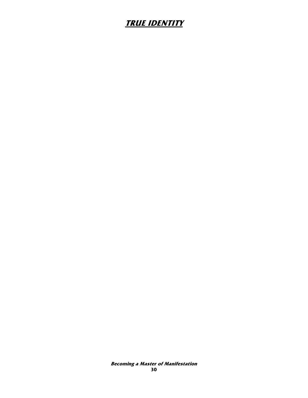# **TRUE IDENTITY**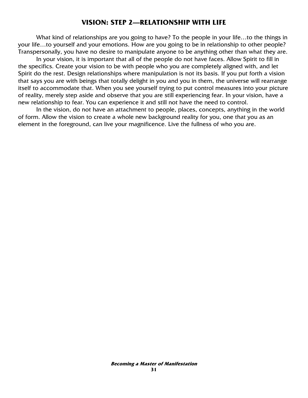### **VISION: STEP 2—RELATIONSHIP WITH LIFE**

What kind of relationships are you going to have? To the people in your life...to the things in your life…to yourself and your emotions. How are you going to be in relationship to other people? Transpersonally, you have no desire to manipulate anyone to be anything other than what they are.

 In your vision, it is important that all of the people do not have faces. Allow Spirit to fill in the specifics. Create your vision to be with people who you are completely aligned with, and let Spirit do the rest. Design relationships where manipulation is not its basis. If you put forth a vision that says you are with beings that totally delight in you and you in them, the universe will rearrange itself to accommodate that. When you see yourself trying to put control measures into your picture of reality, merely step aside and observe that you are still experiencing fear. In your vision, have a new relationship to fear. You can experience it and still not have the need to control.

 In the vision, do not have an attachment to people, places, concepts, anything in the world of form. Allow the vision to create a whole new background reality for you, one that you as an element in the foreground, can live your magnificence. Live the fullness of who you are.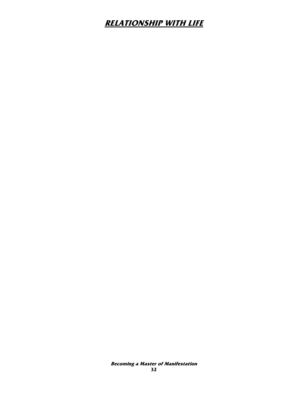# **RELATIONSHIP WITH LIFE**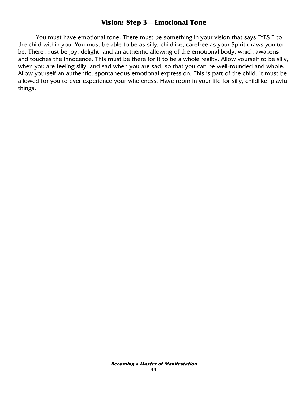### **Vision: Step 3—Emotional Tone**

 You must have emotional tone. There must be something in your vision that says "YES!" to the child within you. You must be able to be as silly, childlike, carefree as your Spirit draws you to be. There must be joy, delight, and an authentic allowing of the emotional body, which awakens and touches the innocence. This must be there for it to be a whole reality. Allow yourself to be silly, when you are feeling silly, and sad when you are sad, so that you can be well-rounded and whole. Allow yourself an authentic, spontaneous emotional expression. This is part of the child. It must be allowed for you to ever experience your wholeness. Have room in your life for silly, childlike, playful things.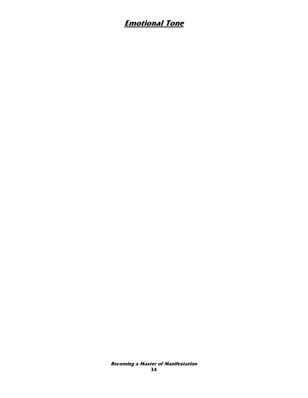# **Emotional Tone**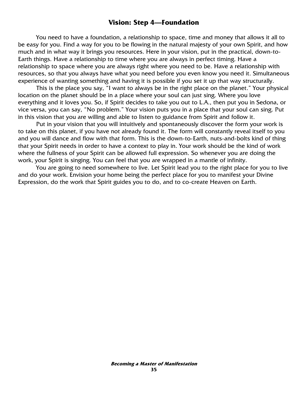### **Vision: Step 4—Foundation**

 You need to have a foundation, a relationship to space, time and money that allows it all to be easy for you. Find a way for you to be flowing in the natural majesty of your own Spirit, and how much and in what way it brings you resources. Here in your vision, put in the practical, down-to-Earth things. Have a relationship to time where you are always in perfect timing. Have a relationship to space where you are always right where you need to be. Have a relationship with resources, so that you always have what you need before you even know you need it. Simultaneous experience of wanting something and having it is possible if you set it up that way structurally.

 This is the place you say, "I want to always be in the right place on the planet." Your physical location on the planet should be in a place where your soul can just sing. Where you love everything and it loves you. So, if Spirit decides to take you out to L.A., then put you in Sedona, or vice versa, you can say, "No problem." Your vision puts you in a place that your soul can sing. Put in this vision that you are willing and able to listen to guidance from Spirit and follow it.

 Put in your vision that you will intuitively and spontaneously discover the form your work is to take on this planet, if you have not already found it. The form will constantly reveal itself to you and you will dance and flow with that form. This is the down-to-Earth, nuts-and-bolts kind of thing that your Spirit needs in order to have a context to play in. Your work should be the kind of work where the fullness of your Spirit can be allowed full expression. So whenever you are doing the work, your Spirit is singing. You can feel that you are wrapped in a mantle of infinity.

 You are going to need somewhere to live. Let Spirit lead you to the right place for you to live and do your work. Envision your home being the perfect place for you to manifest your Divine Expression, do the work that Spirit guides you to do, and to co-create Heaven on Earth.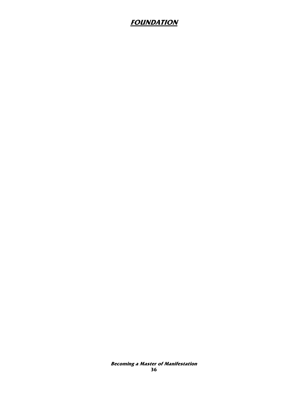## **FOUNDATION**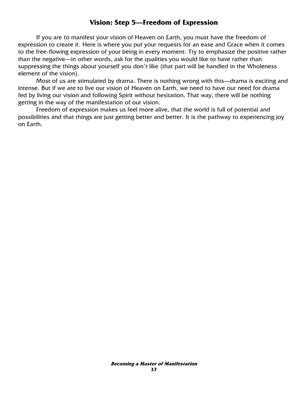## **Vision: Step 5—Freedom of Expression**

 If you are to manifest your vision of Heaven on Earth, you must have the freedom of expression to create it. Here is where you put your requests for an ease and Grace when it comes to the free-flowing expression of your being in every moment. Try to emphasize the positive rather than the negative—in other words, ask for the qualities you would like to have rather than suppressing the things about yourself you don't like (that part will be handled in the Wholeness element of the vision).

 Most of us are stimulated by drama. There is nothing wrong with this—drama is exciting and intense. But if we are to live our vision of Heaven on Earth, we need to have our need for drama fed by living our vision and following Spirit without hesitation. That way, there will be nothing getting in the way of the manifestation of our vision.

 Freedom of expression makes us feel more alive, that the world is full of potential and possibilities and that things are just getting better and better. It is the pathway to experiencing joy on Earth.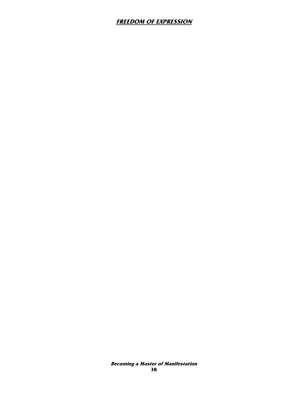### **FREEDOM OF EXPRESSION**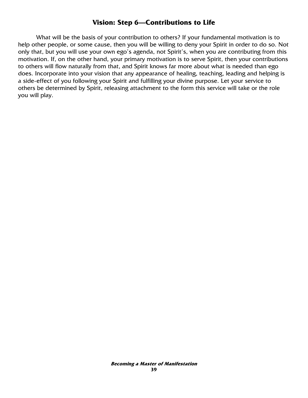## **Vision: Step 6—Contributions to Life**

 What will be the basis of your contribution to others? If your fundamental motivation is to help other people, or some cause, then you will be willing to deny your Spirit in order to do so. Not only that, but you will use your own ego's agenda, not Spirit's, when you are contributing from this motivation. If, on the other hand, your primary motivation is to serve Spirit, then your contributions to others will flow naturally from that, and Spirit knows far more about what is needed than ego does. Incorporate into your vision that any appearance of healing, teaching, leading and helping is a side-effect of you following your Spirit and fulfilling your divine purpose. Let your service to others be determined by Spirit, releasing attachment to the form this service will take or the role you will play.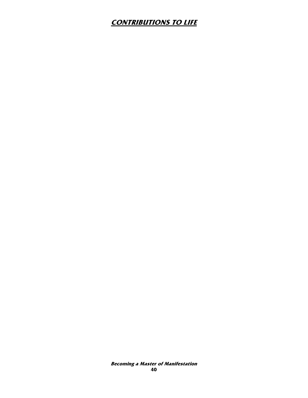# **CONTRIBUTIONS TO LIFE**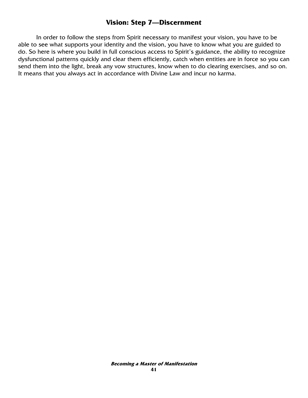### **Vision: Step 7—Discernment**

 In order to follow the steps from Spirit necessary to manifest your vision, you have to be able to see what supports your identity and the vision, you have to know what you are guided to do. So here is where you build in full conscious access to Spirit's guidance, the ability to recognize dysfunctional patterns quickly and clear them efficiently, catch when entities are in force so you can send them into the light, break any vow structures, know when to do clearing exercises, and so on. It means that you always act in accordance with Divine Law and incur no karma.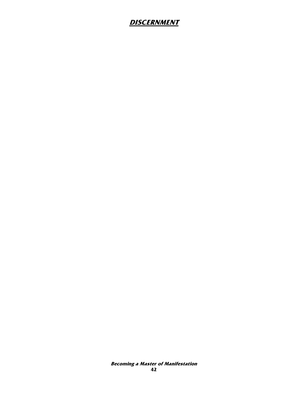## **DISCERNMENT**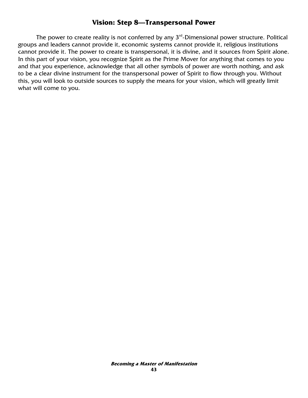## **Vision: Step 8—Transpersonal Power**

The power to create reality is not conferred by any  $3<sup>rd</sup>$ -Dimensional power structure. Political groups and leaders cannot provide it, economic systems cannot provide it, religious institutions cannot provide it. The power to create is transpersonal, it is divine, and it sources from Spirit alone. In this part of your vision, you recognize Spirit as the Prime Mover for anything that comes to you and that you experience, acknowledge that all other symbols of power are worth nothing, and ask to be a clear divine instrument for the transpersonal power of Spirit to flow through you. Without this, you will look to outside sources to supply the means for your vision, which will greatly limit what will come to you.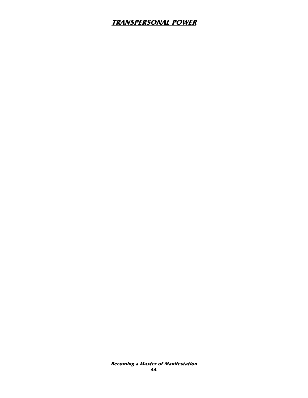## **TRANSPERSONAL POWER**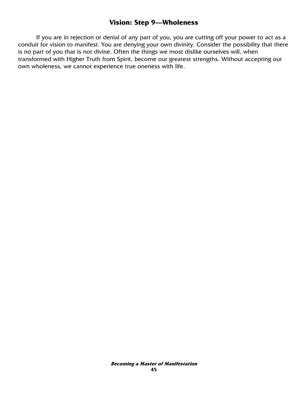### **Vision: Step 9—Wholeness**

 If you are in rejection or denial of any part of you, you are cutting off your power to act as a conduit for vision to manifest. You are denying your own divinity. Consider the possibility that there is no part of you that is not divine. Often the things we most dislike ourselves will, when transformed with Higher Truth from Spirit, become our greatest strengths. Without accepting our own wholeness, we cannot experience true oneness with life.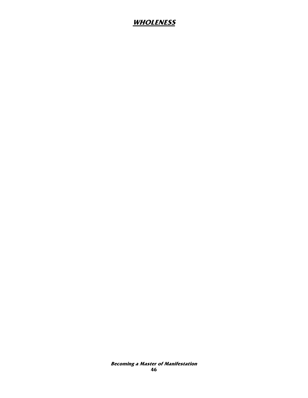## **WHOLENESS**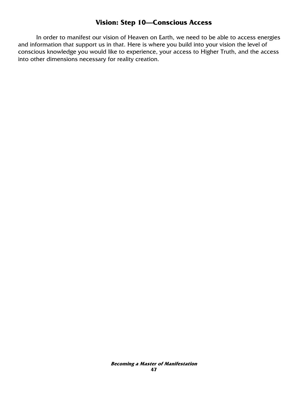## **Vision: Step 10—Conscious Access**

 In order to manifest our vision of Heaven on Earth, we need to be able to access energies and information that support us in that. Here is where you build into your vision the level of conscious knowledge you would like to experience, your access to Higher Truth, and the access into other dimensions necessary for reality creation.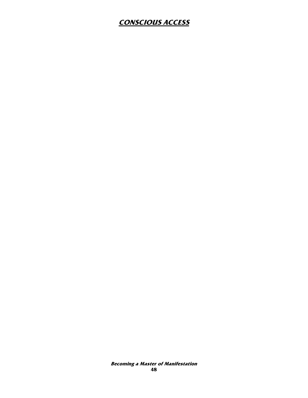## **CONSCIOUS ACCESS**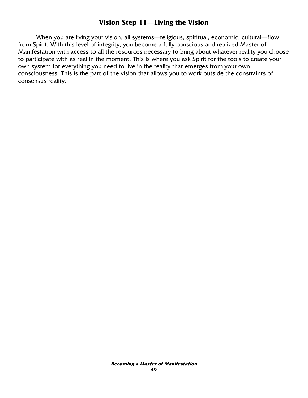## **Vision Step 11—Living the Vision**

 When you are living your vision, all systems—religious, spiritual, economic, cultural—flow from Spirit. With this level of integrity, you become a fully conscious and realized Master of Manifestation with access to all the resources necessary to bring about whatever reality you choose to participate with as real in the moment. This is where you ask Spirit for the tools to create your own system for everything you need to live in the reality that emerges from your own consciousness. This is the part of the vision that allows you to work outside the constraints of consensus reality.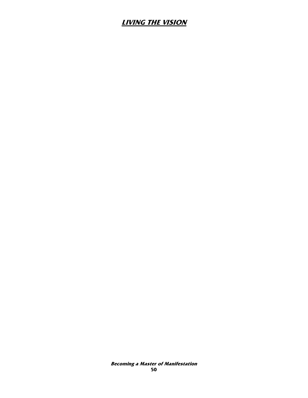## **LIVING THE VISION**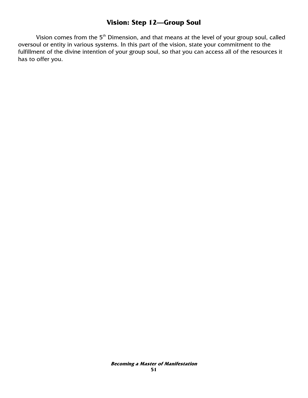## **Vision: Step 12—Group Soul**

Vision comes from the 5<sup>th</sup> Dimension, and that means at the level of your group soul, called oversoul or entity in various systems. In this part of the vision, state your commitment to the fulfillment of the divine intention of your group soul, so that you can access all of the resources it has to offer you.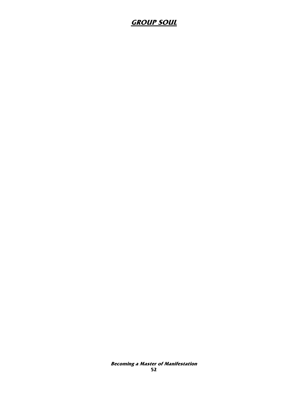## **GROUP SOUL**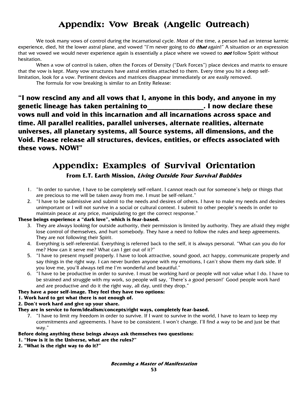# Appendix: **Vow Break** (Angelic Outreach)

We took many vows of control during the incarnational cycle. Most of the time, a person had an intense karmic experience, died, hit the lower astral plane, and vowed "I'm never going to do **that** again!" A situation or an expression that we vowed we would never experience again is essentially a place where we vowed to **not** follow Spirit without hesitation.

When a vow of control is taken, often the Forces of Density ("Dark Forces") place devices and matrix to ensure that the vow is kept. Many vow structures have astral entities attached to them. Every time you hit a deep selflimitation, look for a vow. Pertinent devices and matrices disappear immediately or are easily removed.

The formula for vow breaking is similar to an Entity Release:

**"I now rescind any and all vows that I, anyone in this body, and anyone in my genetic lineage has taken pertaining to\_\_\_\_\_\_\_\_\_\_\_\_\_\_\_\_. I now declare these vows null and void in this incarnation and all incarnations across space and time. All parallel realities, parallel universes, alternate realities, alternate universes, all planetary systems, all Source systems, all dimensions, and the Void. Please release all structures, devices, entities, or effects associated with these vows. NOW!"**

# Appendix: Examples of Survival Orientation

**From E.T. Earth Mission, Living Outside Your Survival Bubbles**

- 1. "In order to survive, I have to be completely self-reliant. I cannot reach out for someone's help or things that are precious to me will be taken away from me. I must be self-reliant."
- 2. "I have to be submissive and submit to the needs and desires of others. I have to make my needs and desires unimportant or I will not survive in a social or cultural context. I submit to other people's needs in order to maintain peace at any price, manipulating to get the correct response."

#### **These beings experience a "dark love", which is fear-based.**

- 3. They are always looking for outside authority, their permission is limited by authority. They are afraid they might lose control of themselves, and hurt somebody. They have a need to follow the rules and keep agreements. They are not following their Spirit.
- 4. Everything is self-referential. Everything is referred back to the self, it is always personal. "What can you do for me? How can it serve me? What can I get out of it?"
- 5. "I have to present myself properly. I have to look attractive, sound good, act happy, communicate properly and say things in the right way. I can never burden anyone with my emotions, I can't show them my dark side. If you love me, you'll always tell me I'm wonderful and beautiful."
- 6. "I have to be productive in order to survive. I must be working hard or people will not value what I do. I have to be strained and struggle with my work, so people will say, 'There's a good person!' Good people work hard and are productive and do it the right way, all day, until they drop."

#### **They have a poor self-image. They feel they have two options:**

#### **1. Work hard to get what there is not enough of.**

**2. Don't work hard and give up your share.** 

**They are in service to form/idealism/concepts/right ways, completely fear-based.** 

7. "I have to limit my freedom in order to survive. If I want to survive in the world, I have to learn to keep my commitments and agreements. I have to be consistent. I won't change. I'll find a way to be and just be that way."

#### **Before doing anything these beings always ask themselves two questions:**

- **1. "How is it in the Universe, what are the rules?"**
- **2. "What is the right way to do it?"**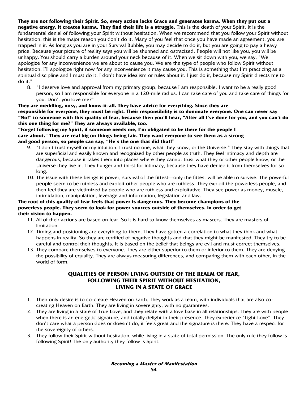**They are not following their Spirit. So, every action lacks Grace and generates karma. When they put out a negative energy, it creates karma. They find their life is a struggle.** This is the death of your Spirit. It is the fundamental denial of following your Spirit without hesitation. When we recommend that you follow your Spirit without hesitation, this is the major reason you don't do it. Many of you feel that once you have made an agreement, you are trapped in it. As long as you are in your Survival Bubble, you may decide to do it, but you are going to pay a heavy price. Because your picture of reality says you will be shunned and ostracized. People will not like you, you will be unhappy. You should carry a burden around your neck because of it. When we sit down with you, we say, "We apologize for any inconvenience we are about to cause you. We are the type of people who follow Spirit without hesitation. I'll apologize right now for any inconvenience it may cause you. This is something that I'm practicing as a spiritual discipline and I must do it. I don't have idealism or rules about it. I just do it, because my Spirit directs me to do it."

8. "I deserve love and approval from my primary group, because I am responsible. I want to be a really good person, so I am responsible for everyone in a 120-mile radius. I can take care of you and take care of things for you. Don't you love me?"

**They are meddling, nosy, and know-it-all. They have advice for everything. Since they are responsible for everyone, they must be right. Their responsibility is to dominate everyone. One can never say "No!" to someone with this quality of fear, because then you'll hear, "After all I've done for you, and you can't do this one thing for me?" They are always available, too.** 

#### **"Forget following my Spirit, if someone needs me, I'm obligated to be there for the people I care about." They are real big on things being fair. They want everyone to see them as a strong and good person, so people can say, "He's the one that did that!"**

- 9. "I don't trust myself or my intuition. I trust no one, what they know, or the Universe." They stay with things that are superficial and easily known and recognized by other people as truth. They feel intimacy and depth are dangerous, because it takes them into places where they cannot trust what they or other people know, or the Universe they live in. They hunger and thirst for intimacy, because they have denied it from themselves for so long.
- 10. The issue with these beings is power, survival of the fittest—only the fittest will be able to survive. The powerful people seem to be ruthless and exploit other people who are ruthless. They exploit the powerless people, and then feel they are victimized by people who are ruthless and exploitative. They see power as money, muscle, intimidation, manipulation, leverage and information, legislation and law.

#### **The root of this quality of fear feels that power is dangerous. They become champions of the powerless people. They seem to look for power sources outside of themselves, in order to get their vision to happen.**

- 11. All of their actions are based on fear. So it is hard to know themselves as masters. They are masters of limitation.
- 12. Timing and positioning are everything to them. They have gotten a correlation to what they think and what happens in reality. So they are terrified of negative thoughts and that they might be manifested. They try to be careful and control their thoughts. It is based on the belief that beings are evil and must correct themselves.
- 13. They compare themselves to everyone. They are either superior to them or inferior to them. They are denying the possibility of equality. They are always measuring differences, and comparing them with each other, in the world of form.

#### **QUALITIES OF PERSON LIVING OUTSIDE OF THE REALM OF FEAR, FOLLOWING THEIR SPIRIT WITHOUT HESITATION, LIVING IN A STATE OF GRACE**

- 1. Their only desire is to co-create Heaven on Earth. They work as a team, with individuals that are also cocreating Heaven on Earth. They are living in sovereignty, with no guarantees.
- 2. They are living in a state of True Love, and they relate with a love base in all relationships. They are with people when there is an energetic signature, and totally delight in their presence. They experience "Light Love". They don't care what a person does or doesn't do, it feels great and the signature is there. They have a respect for the sovereignty of others.
- 3. They follow their Spirit without hesitation, while living in a state of total permission. The only rule they follow is following Spirit! The only authority they follow is Spirit.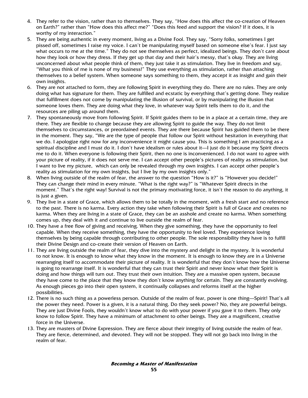- 4. They refer to the vision, rather than to themselves. They say, "How does this affect the co-creation of Heaven on Earth?" rather than "How does this affect me?" "Does this feed and support the vision? If it does, it is worthy of my interaction."
- 5. They are being authentic in every moment, living as a Divine Fool. They say, "Sorry folks, sometimes I get pissed off, sometimes I raise my voice. I can't be manipulating myself based on someone else's fear. I just say what occurs to me at the time." They do not see themselves as perfect, idealized beings. They don't care about how they look or how they dress. If they get up that day and their hair's messy, that's okay. They are living unconcerned about what people think of them, they just take it as stimulation. They live in freedom and say, "What you think of me is none of my business!" They use everything as stimulation, rather than attaching themselves to a belief system. When someone says something to them, they accept it as insight and gain their own insights.
- 6. They are not attached to form, they are following Spirit in everything they do. There are no rules. They are only doing what has signature for them. They are fulfilled and ecstatic by everything that's getting done. They realize that fulfillment does not come by manipulating the illusion of survival, or by manipulating the illusion that someone loves them. They are doing what they love, in whatever way Spirit tells them to do it, and the resources are piling up around them.
- 7. They spontaneously move from following Spirit. If Spirit guides them to be in a place at a certain time, they are there. They are flexible to change because they are allowing Spirit to guide the way. They do not limit themselves to circumstances, or preordained events. They are there because Spirit has guided them to be there in the moment. They say, "We are the type of people that follow our Spirit without hesitation in everything that we do. I apologize right now for any inconvenience it might cause you. This is something I am practicing as a spiritual discipline and I must do it. I don't have idealism or rules about it—I just do it because my Spirit directs me to do it. When everyone is following their Spirit, then no one is inconvenienced. I do not want to agree with your picture of reality, if it does not serve me. I can accept other people's pictures of reality as stimulation, but I want to live my picture, which can only be revealed through my own insights. I can accept other people's reality as stimulation for my own insights, but I live by my own insights only."
- 8. When living outside of the realm of fear, the answer to the question "How is it?" is "However you decide!" They can change their mind in every minute. "What is the right way?" is "Whatever Spirit directs in the moment." That's the right way! Survival is not the primary motivating force, it isn't the reason to do anything, it is just a given.
- 9. They live in a state of Grace, which allows them to be totally in the moment, with a fresh start and no reference to the past. There is no karma. Every action they take when following their Spirit is full of Grace and creates no karma. When they are living in a state of Grace, they can be an asshole and create no karma. When something comes up, they deal with it and continue to live outside the realm of fear.
- 10. They have a free flow of giving and receiving. When they give something, they have the opportunity to feel capable. When they receive something, they have the opportunity to feel loved. They experience loving themselves by being capable through contributing to other people. The sole responsibility they have is to fulfill their Divine Design and co-create their version of Heaven on Earth.
- 11. They are living outside the realm of fear, they dive into the mystery and delight in the mystery. It is wonderful to not know. It is enough to know what they know in the moment. It is enough to know they are in a Universe rearranging itself to accommodate their picture of reality. It is wonderful that they don't know how the Universe is going to rearrange itself. It is wonderful that they can trust their Spirit and never know what their Spirit is doing and how things will turn out. They trust their own intuition. They are a massive open system, because they have come to the place that they know they don't know anything for certain. They are constantly evolving. As enough pieces go into their open system, it continually collapses and reforms itself at the higher possibilities.
- 12. There is no such thing as a powerless person. Outside of the realm of fear, power is one thing—Spirit! That's all the power they need. Power is a given, it is a natural thing. Do they seek power? No, they are powerful beings. They are just Divine Fools, they wouldn't know what to do with your power if you gave it to them. They only know to follow Spirit. They have a minimum of attachment to other beings. They are a magnificent, creative force in the Universe.
- 13. They are masters of Divine Expression. They are fierce about their integrity of living outside the realm of fear. They are fierce, determined, and devoted. They will not be stopped. They will not go back into living in the realm of fear.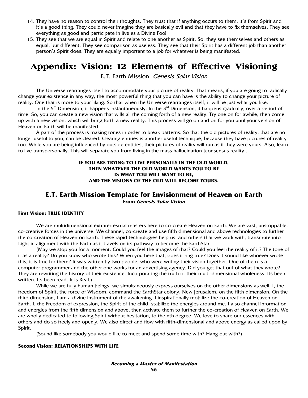- 14. They have no reason to control their thoughts. They trust that if anything occurs to them, it's from Spirit and it's a good thing. They could never imagine they are basically evil and that they have to fix themselves. They see everything as good and participate in live as a Divine Fool.
- 15. They see that we are equal in Spirit and relate to one another as Spirit. So, they see themselves and others as equal, but different. They see comparison as useless. They see that their Spirit has a different job than another person's Spirit does. They are equally important to a job for whatever is being manifested.

# Appendix: Vision: 12 Elements of Effective Visioning

E.T. Earth Mission, Genesis Solar Vision

 The Universe rearranges itself to accommodate your picture of reality. That means, if you are going to radically change your existence in any way, the most powerful thing that you can have is the ability to change your picture of reality. One that is more to your liking. So that when the Universe rearranges itself, it will be just what you like.

In the 5<sup>th</sup> Dimension, it happens instantaneously. In the 3<sup>rd</sup> Dimension, it happens gradually, over a period of time. So, you can create a new vision that wills all the coming forth of a new reality. Try one on for awhile, then come up with a new vision, which will bring forth a new reality. This process will go on and on for you until your version of Heaven on Earth will be manifested.

 A part of the process is making tones in order to break patterns. So that the old pictures of reality, that are no longer useful to you, can be cleared. Clearing entities is another useful technique, because they have pictures of reality too. While you are being influenced by outside entities, their pictures of reality will run as if they were yours. Also, learn to live transpersonally. This will separate you from living in the mass hallucination [consensus reality].

#### **IF YOU ARE TRYING TO LIVE PERSONALLY IN THE OLD WORLD, THEN WHATEVER THE OLD WORLD WANTS YOU TO BE IS WHAT YOU WILL WANT TO BE, AND THE VISIONS OF THE OLD WILL BECOME YOURS.**

### **E.T. Earth Mission Template for Envisionment of Heaven on Earth From Genesis Solar Vision**

#### **First Vision: TRUE IDENTITY**

We are multidimensional extraterrestrial masters here to co-create Heaven on Earth. We are vast, unstoppable, co-creative forces in the universe. We channel, co-create and use fifth dimensional and above technologies to further the co-creation of Heaven on Earth. These rapid technologies help us, and others that we work with, transmute into Light in alignment with the Earth as it travels on its pathway to become the EarthStar.

(May we stop you for a moment. Could you feel the images of that? Could you feel the reality of it? The tone of it as a reality? Do you know who wrote this? When you here that, does it ring true? Does it sound like whoever wrote this, it is true for them? It was written by two people, who were writing their vision together. One of them is a computer programmer and the other one works for an advertising agency. Did you get that out of what they wrote? They are rewriting the history of their existence. Incorporating the truth of their multi-dimensional wholeness. Its been written. Its been read. It is Real.)

While we are fully human beings, we simultaneously express ourselves on the other dimensions as well. I, the freedom of Spirit, the force of Wisdom, command the EarthStar colony, New Jerusalem, on the fifth dimension. On the third dimension, I am a divine instrument of the awakening. I inspirationally mobilize the co-creation of Heaven on Earth. I, the Freedom of expression, the Spirit of the child, stabilize the energies around me. I also channel information and energies from the fifth dimension and above, then activate them to further the co-creation of Heaven on Earth. We are wholly dedicated to following Spirit without hesitation, to the nth degree. We love to share our essences with others and do so freely and openly. We also direct and flow with fifth-dimensional and above energy as called upon by Spirit.

(Sound like somebody you would like to meet and spend some time with? Hang out with?)

#### **Second Vision: RELATIONSHIPS WITH LIFE**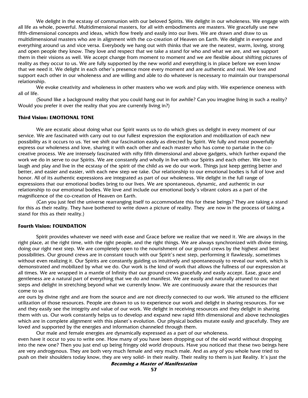We delight in the ecstasy of communion with our beloved Spirits. We delight in our wholeness. We engage with all life as whole, powerful. Multidimensional masters, for all with embodiments are masters. We gracefully use new fifth-dimensional concepts and ideas, which flow freely and easily into our lives. We are drawn and draw to us multidimensional masters who are in alignment with the co-creation of Heaven on Earth. We delight in everyone and everything around us and vice versa. Everybody we hang out with thinks that we are the neatest, warm, loving, strong and open people they know. They love and respect that we take a stand for who and what we are, and we support them in their visions as well. We accept change from moment to moment and we are flexible about shifting pictures of reality as they occur to us. We are fully supported by the new world and everything is in place before we even know that we need it. We delight in each other's presence more every moment and are authentic and real. We love and support each other in our wholeness and are willing and able to do whatever is necessary to maintain our transpersonal relationship.

We evoke creativity and wholeness in other masters who we work and play with. We experience oneness with all of life.

(Sound like a background reality that you could hang out in for awhile? Can you imagine living in such a reality? Would you prefer it over the reality that you are currently living in?)

#### **Third Vision: EMOTIONAL TONE**

We are ecstatic about doing what our Spirit wants us to do which gives us delight in every moment of our service. We are fascinated with carry out to our fullest expression the exploration and mobilization of each new possibility as it occurs to us. Yet we shift our fascination easily as directed by Spirit. We fully and most powerfully express our wholeness and love, sharing it with each other and each master who has come to partake in the cocreative process. We are intensely fascinated with nifty fifth dimensional and above gadgets, which further expand the work we do in serve to our Spirits. We are constantly and wholly in live with our Spirits and each other. We love to laugh and play and live in the ecstasy of the spirit of the child as we do our work. Things just keep getting better and better, and easier and easier, with each new step we take. Our relationship to our emotional bodies is full of love and honor. All of its authentic expressions are integrated as part of our wholeness. We delight in the full range of expressions that our emotional bodies bring to our lives. We are spontaneous, dynamic, and authentic in our relationship to our emotional bodies. We love and include our emotional body's vibrant colors as a part of the magnificence of the co-creation of Heaven on Earth.

(Can you just feel the universe rearranging itself to accommodate this for these beings? They are taking a stand for this as their reality. They have bothered to write down a picture of reality. They are now in the process of taking a stand for this as their reality.)

#### **Fourth Vision: FOUNDATION**

Spirit provides whatever we need with ease and Grace before we realize that we need it. We are always in the right place, at the right time, with the right people, and the right things. We are always synchronized with divine timing, doing our right next step. We are completely open to the nourishment of our ground crews by the highest and best possibilities. Our ground crews are in constant touch with our Spirit's next step, performing it flawlessly, sometimes without even realizing it. Our Spirits are constantly guiding us intuitively and spontaneously to reveal our work, which is demonstrated and mobilized by what we do. Our work is the kind of work that allows the fullness of our expression at all times. We are wrapped in a mantle of Infinity that our ground crews gracefully and easily accept. Ease, grace and gentleness are a natural part of everything that we do and manifest. We are easily and naturally attuned to our next steps and delight in stretching beyond what we currently know. We are continuously aware that the resources that come to us

are ours by divine right and are from the source and are not directly connected to our work. We attuned to the efficient utilization of those resources. People are drawn to us to experience our work and delight in sharing resources. For we and they easily see the integrity and value of our work. We delight in receiving resources and they delight in sharing them with us. Our work constantly helps us to develop and expand new rapid fifth dimensional and above technologies which are in complete alignment with this planet's evolution. Our physical bodies mutate easily and gracefully. They are loved and supported by the energies and information channeled through them.

Our male and female energies are dynamically expressed as a part of our wholeness.

even have it occur to you to write one. How many of you have been dropping out of the old world without dropping into the new one? Then you just end up being fringey old world dropouts. Have you noticed that these two beings here are very androgynous. They are both very much female and very much male. And as any of you whole have tried to push on their shoulders today know, they are very solid- in their reality. Their reality to them is just Reality. It's just the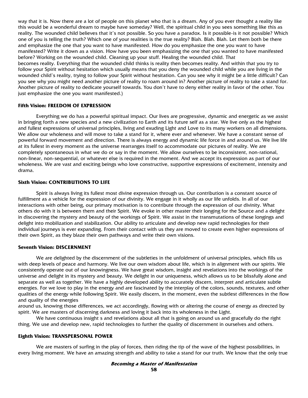way that it is. Now there are a lot of people on this planet who that is a dream. Any of you ever thought a reality like this would be a wonderful dream to maybe have someday? Well, the spiritual child in you sees something like this as reality. The wounded child believes that it's not possible. So you have a paradox. Is it possible-is it not possible? Which one of you is telling the truth? Which one of your realities is the true reality? Blah. Blah. Blah. Let them both be there and emphasize the one that you want to have manifested. How do you emphasize the one you want to have manifested? Write it down as a vision. How have you been emphasizing the one that you wanted to have manifested before? Working on the wounded child. Cleaning up your stuff. Healing the wounded child. That becomes reality. Everything that the wounded child thinks is reality then becomes reality. And within that you try to follow your Spirit without hesitation which usually means that you deny the wounded child while you are living in the wounded child's reality, trying to follow your Spirit without hesitation. Can you see why it might be a little difficult? Can you see why you might need another picture of reality to roam around in? Another picture of reality to take a stand for. Another picture of reality to dedicate yourself towards. You don't have to deny either reality in favor of the other. You just emphasize the one you want manifested.)

#### **Fifth Vision: FREEDOM OF EXPRESSION**

Everything we do has a powerful spiritual impact. Our lives are progressive, dynamic and energetic as we assist in bringing forth a new species and a new civilization to Earth and its future self as a star. We live only as the highest and fullest expressions of universal principles, living and exuding Light and Love to its many workers on all dimensions. We allow our wholeness and will move to take a stand for it, where ever and whenever. We have a constant sense of powerful forward movement and direction. There is always energy and dynamic life force in and around us. We live life at its fullest in every moment as the universe rearranges itself to accommodate our pictures of reality. We are completely spontaneous in what we do or say in the moment. We allow ourselves to be inconsistent, non-rational, non-linear, non-sequential, or whatever else is required in the moment. And we accept its expression as part of our wholeness. We are vast and exciting beings who love constructive, supportive expressions of excitement, intensity and drama.

#### **Sixth Vision: CONTRIBUTIONS TO LIFE**

Spirit is always living its fullest most divine expression through us. Our contribution is a constant source of fulfillment as a vehicle for the expression of our divinity. We engage in it wholly as our life unfolds. In all of our interactions with other being, our primary motivation is to contribute through the expression of our divinity. What others do with it is between them and their Spirit. We evoke in other master their longing for the Source and a delight in discovering the mystery and beauty of the workings of Spirit. We assist in the transmutations of these longings and delight into mobilization and stabilization. Our ability to articulate and develop new rapid technologies for their individual journeys is ever expanding. From their contact with us they are moved to create even higher expressions of their own Spirit, as they blaze their own pathways and write their own visions.

#### **Seventh Vision: DISCERNMENT**

We are delighted by the discernment of the subtleties in the unfoldment of universal principles, which fills us with deep levels of peace and harmony. We live our own wisdom about life, which is in alignment with our spirits. We consistently operate out of our knowingness. We have great wisdom, insight and revelations into the workings of the universe and delight in its mystery and beauty. We delight in our uniqueness, which allows us to be blissfully alone and separate as well as together. We have a highly developed ability to accurately discern, interpret and articulate subtle energies. For we love to play in the energy and are fascinated by the interplay of the colors, sounds, textures, and other qualities of the energy while following Spirit. We easily discern, in the moment, even the subtlest differences in the flow and quality of the energies

around us, knowing those differences, we act accordingly, flowing with or altering the course of energy as directed by spirit. We are masters of discerning darkness and loving it back into its wholeness in the Light.

We have continuous insight s and revelations about all that is going on around us and gracefully do the right thing. We use and develop new, rapid technologies to further the quality of discernment in ourselves and others.

#### **Eighth Vision: TRANSPERSONAL POWER**

We are masters of surfing in the play of forces, then riding the tip of the wave of the highest possibilities, in every living moment. We have an amazing strength and ability to take a stand for our truth. We know that the only true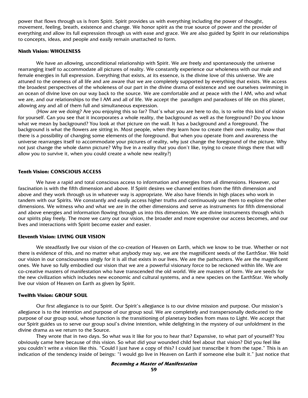power that flows through us is from Spirit. Spirit provides us with everything including the power of thought, movement, feeling, breath, existence and change. We honor spirit as the true source of power and the provider of everything and allow its full expression through us with ease and grace. We are also guided by Spirit in our relationships to concepts, ideas, and people and easily remain unattached to form.

#### **Ninth Vision: WHOLENESS**

We have an allowing, unconditional relationship with Spirit. We are freely and spontaneously the universe rearranging itself to accommodate all pictures of reality. We constantly experience our wholeness with our male and female energies in full expression. Everything that exists, at its essence, is the divine love of this universe. We are attuned to the oneness of all life and are aware that we are completely supported by everything that exists. We access the broadest perspectives of the wholeness of our part in the divine drama of existence and see ourselves swimming in an ocean of divine love on our way back to the source. We are comfortable and at peace with the I AM, who and what we are, and our relationships to the I AM and all of life. We accept the paradigm and paradoxes of life on this planet, allowing any and all of them full and simultaneous expression.

(How are we doing? Are you enjoying this so far? That's what you are here to do, is to write this kind of vision for yourself. Can you see that it incorporates a whole reality, the background as well as the foreground? Do you know what we mean by background? You look at that picture on the wall. It has a background and a foreground. The background is what the flowers are sitting in. Most people, when they learn how to create their own reality, know that there is a possibility of changing some elements of the foreground. But when you operate from and awareness the universe rearranges itself to accommodate your pictures of reality, why just change the foreground of the picture. Why not just change the whole damn picture? Why live in a reality that you don't like, trying to create things there that will allow you to survive it, when you could create a whole new reality?)

#### **Tenth Vision: CONSCIOUS ACCESS**

We have a rapid and total conscious access to information and energies from all dimensions. However, our fascination is with the fifth dimension and above. If Spirit desires we channel entities from the fifth dimension and above and they work through us in whatever way is appropriate. We also have friends in high places who work in tandem with our Spirits. We constantly and easily access higher truths and continuously use them to explore the other dimensions. We witness who and what we are in the other dimensions and serve as instruments for fifth dimensional and above energies and information flowing through us into this dimension. We are divine instruments through which our spirits play freely. The more we carry out our vision, the broader and more expensive our access becomes, and our lives and interactions with Spirit become easier and easier.

#### **Eleventh Vision: LIVING OUR VISION**

We steadfastly live our vision of the co-creation of Heaven on Earth, which we know to be true. Whether or not there is evidence of this, and no matter what anybody may say, we are the magnificent seeds of the EarthStar. We hold our vision in our consciousness singly for it is all that exists in our lives. We are the pathcutters. We are the magnificent ones. We have so fully embodied our vision that we are a powerful visionary force to be reckoned within life. We are co-creative masters of manifestation who have transcended the old world. We are masters of form. We are seeds for the new civilization which includes new economic and cultural systems, and a new species on the EarthStar. We wholly live our vision of Heaven on Earth as given by Spirit.

#### **Twelfth Vision: GROUP SOUL**

Our first allegiance is to our Spirit. Our Spirit's allegiance is to our divine mission and purpose. Our mission's allegiance is to the intention and purpose of our group soul. We are completely and transpersonally dedicated to the purpose of our group soul, whose function is the transitioning of planetary bodies from mass to Light. We accept that our Spirit guides us to serve our group soul's divine intention, while delighting in the mystery of our unfoldment in the divine drama as we return to the Source.

They wrote that in two days. So what was it like for you to hear that? Expansive, to what part of yourself? You obviously came here because of this vision. So what did your wounded child feel about that vision? Did you feel like you couldn't write a vision like this. "Could I just have a copy of this? I could just transcribe it from the tape." This is an indication of the tendency inside of beings: "I would go live in Heaven on Earth if someone else built it." Just notice that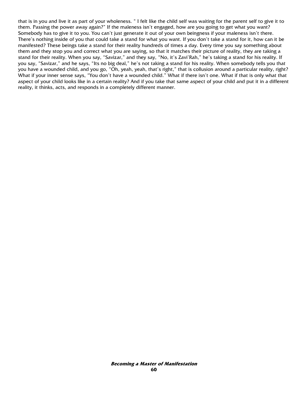that is in you and live it as part of your wholeness. " I felt like the child self was waiting for the parent self to give it to them. Passing the power away again?" If the maleness isn't engaged, how are you going to get what you want? Somebody has to give it to you. You can't just generate it out of your own beingness if your maleness isn't there. There's nothing inside of you that could take a stand for what you want. If you don't take a stand for it, how can it be manifested? These beings take a stand for their reality hundreds of times a day. Every time you say something about them and they stop you and correct what you are saying, so that it matches their picture of reality, they are taking a stand for their reality. When you say, "Savizar," and they say, "No, it's Zavi'Rah," he's taking a stand for his reality. If you say, "Savizar," and he says, "Its no big deal," he's not taking a stand for his reality. When somebody tells you that you have a wounded child, and you go, "Oh, yeah, yeah, that's right," that is collusion around a particular reality, right? What if your inner sense says, "You don't have a wounded child." What if there isn't one. What if that is only what that aspect of your child looks like in a certain reality? And if you take that same aspect of your child and put it in a different reality, it thinks, acts, and responds in a completely different manner.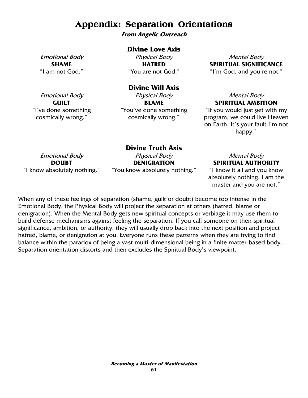# **Appendix: Separation Orientations**

**From Angelic Outreach** 

### **Divine Love Axis**

Emotional Body **SHAME**  "I am not God."

Physical Body **HATRED**  "You are not God."

Mental Body **SPIRITUAL SIGNIFICANCE**  "I'm God, and you're not."

## **Divine Will Axis**

Emotional Body **GUILT**  "I've done something cosmically wrong."

Physical Body **BLAME**  "You've done something cosmically wrong."

## Mental Body **SPIRITUAL AMBITION**

"If you would just get with my program, we could live Heaven on Earth. It's your fault I'm not happy."

Emotional Body **DOUBT**  "I know absolutely nothing."

**Divine Truth Axis**  Physical Body **DENIGRATION**  "You know absolutely nothing."

## Mental Body **SPIRITUAL AUTHORITY**

"I know it all and you know absolutely nothing. I am the master and you are not."

When any of these feelings of separation (shame, guilt or doubt) become too intense in the Emotional Body, the Physical Body will project the separation at others (hatred, blame or denigration). When the Mental Body gets new spiritual concepts or verbiage it may use them to build defense mechanisms against feeling the separation. If you call someone on their spiritual significance, ambition, or authority, they will usually drop back into the next position and project hatred, blame, or denigration at you. Everyone runs these patterns when they are trying to find balance within the paradox of being a vast multi-dimensional being in a finite matter-based body. Separation orientation distorts and then excludes the Spiritual Body's viewpoint.